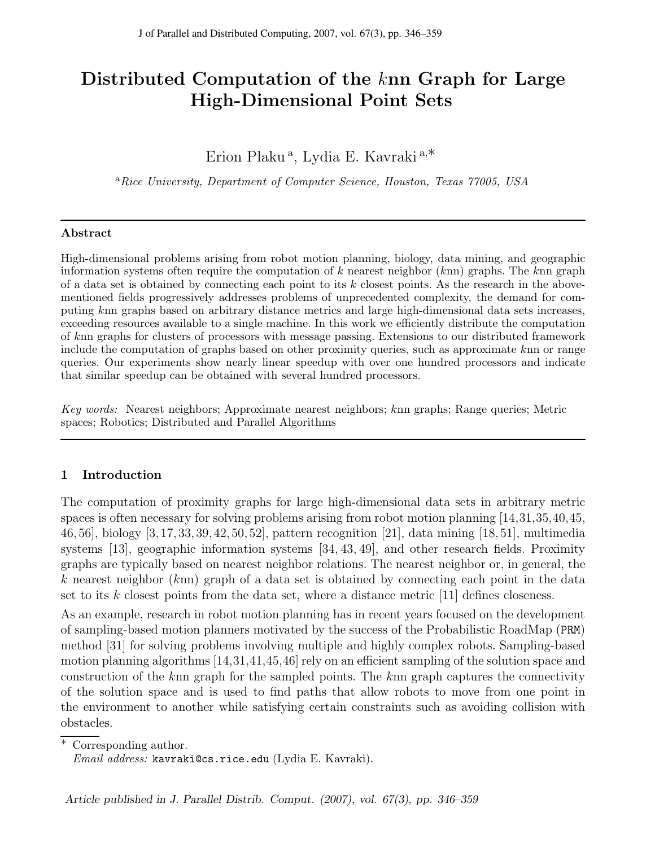# Distributed Computation of the knn Graph for Large High-Dimensional Point Sets

# Erion Plaku<sup>a</sup>, Lydia E. Kavraki<sup>a,\*</sup>

<sup>a</sup>Rice University, Department of Computer Science, Houston, Texas 77005, USA

#### Abstract

High-dimensional problems arising from robot motion planning, biology, data mining, and geographic information systems often require the computation of  $k$  nearest neighbor  $(knn)$  graphs. The  $knn$  graph of a data set is obtained by connecting each point to its  $k$  closest points. As the research in the abovementioned fields progressively addresses problems of unprecedented complexity, the demand for computing knn graphs based on arbitrary distance metrics and large high-dimensional data sets increases, exceeding resources available to a single machine. In this work we efficiently distribute the computation of knn graphs for clusters of processors with message passing. Extensions to our distributed framework include the computation of graphs based on other proximity queries, such as approximate knn or range queries. Our experiments show nearly linear speedup with over one hundred processors and indicate that similar speedup can be obtained with several hundred processors.

Key words: Nearest neighbors; Approximate nearest neighbors; knn graphs; Range queries; Metric spaces; Robotics; Distributed and Parallel Algorithms

### 1 Introduction

The computation of proximity graphs for large high-dimensional data sets in arbitrary metric spaces is often necessary for solving problems arising from robot motion planning [14,31,35,40,45, 46, 56], biology [3, 17, 33, 39, 42, 50, 52], pattern recognition [21], data mining [18, 51], multimedia systems [13], geographic information systems [34, 43, 49], and other research fields. Proximity graphs are typically based on nearest neighbor relations. The nearest neighbor or, in general, the k nearest neighbor  $(knn)$  graph of a data set is obtained by connecting each point in the data set to its k closest points from the data set, where a distance metric  $|11|$  defines closeness.

As an example, research in robot motion planning has in recent years focused on the development of sampling-based motion planners motivated by the success of the Probabilistic RoadMap (PRM) method [31] for solving problems involving multiple and highly complex robots. Sampling-based motion planning algorithms [14,31,41,45,46] rely on an efficient sampling of the solution space and construction of the knn graph for the sampled points. The knn graph captures the connectivity of the solution space and is used to find paths that allow robots to move from one point in the environment to another while satisfying certain constraints such as avoiding collision with obstacles.

<sup>∗</sup> Corresponding author.

Email address: kavraki@cs.rice.edu (Lydia E. Kavraki).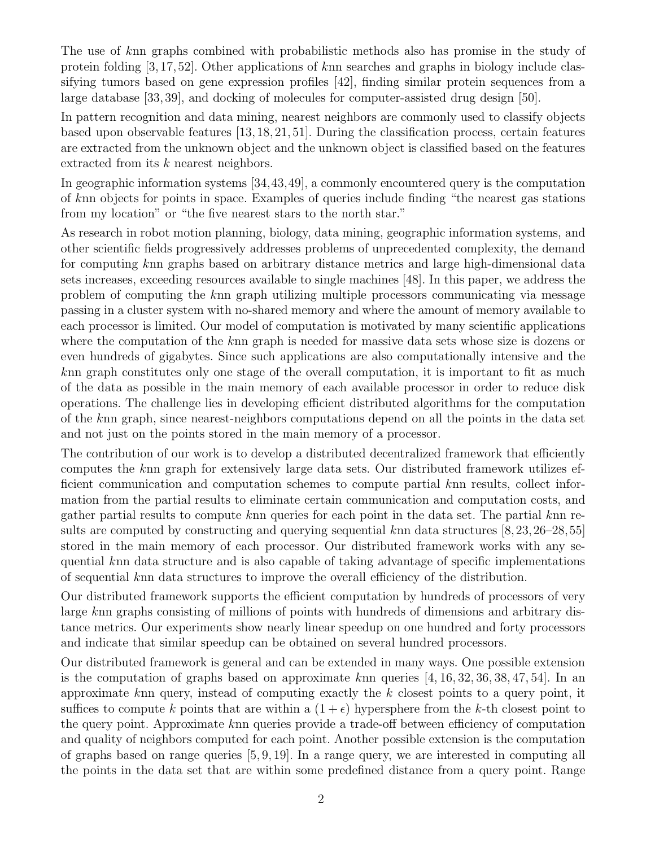The use of knn graphs combined with probabilistic methods also has promise in the study of protein folding [3, 17, 52]. Other applications of knn searches and graphs in biology include classifying tumors based on gene expression profiles [42], finding similar protein sequences from a large database [33, 39], and docking of molecules for computer-assisted drug design [50].

In pattern recognition and data mining, nearest neighbors are commonly used to classify objects based upon observable features [13, 18, 21, 51]. During the classification process, certain features are extracted from the unknown object and the unknown object is classified based on the features extracted from its k nearest neighbors.

In geographic information systems [34,43,49], a commonly encountered query is the computation of knn objects for points in space. Examples of queries include finding "the nearest gas stations from my location" or "the five nearest stars to the north star."

As research in robot motion planning, biology, data mining, geographic information systems, and other scientific fields progressively addresses problems of unprecedented complexity, the demand for computing knn graphs based on arbitrary distance metrics and large high-dimensional data sets increases, exceeding resources available to single machines [48]. In this paper, we address the problem of computing the knn graph utilizing multiple processors communicating via message passing in a cluster system with no-shared memory and where the amount of memory available to each processor is limited. Our model of computation is motivated by many scientific applications where the computation of the knn graph is needed for massive data sets whose size is dozens or even hundreds of gigabytes. Since such applications are also computationally intensive and the knn graph constitutes only one stage of the overall computation, it is important to fit as much of the data as possible in the main memory of each available processor in order to reduce disk operations. The challenge lies in developing efficient distributed algorithms for the computation of the knn graph, since nearest-neighbors computations depend on all the points in the data set and not just on the points stored in the main memory of a processor.

The contribution of our work is to develop a distributed decentralized framework that efficiently computes the knn graph for extensively large data sets. Our distributed framework utilizes efficient communication and computation schemes to compute partial knn results, collect information from the partial results to eliminate certain communication and computation costs, and gather partial results to compute knn queries for each point in the data set. The partial knn results are computed by constructing and querying sequential knn data structures  $[8,23,26-28,55]$ stored in the main memory of each processor. Our distributed framework works with any sequential knn data structure and is also capable of taking advantage of specific implementations of sequential knn data structures to improve the overall efficiency of the distribution.

Our distributed framework supports the efficient computation by hundreds of processors of very large knn graphs consisting of millions of points with hundreds of dimensions and arbitrary distance metrics. Our experiments show nearly linear speedup on one hundred and forty processors and indicate that similar speedup can be obtained on several hundred processors.

Our distributed framework is general and can be extended in many ways. One possible extension is the computation of graphs based on approximate knn queries  $[4, 16, 32, 36, 38, 47, 54]$ . In an approximate knn query, instead of computing exactly the  $k$  closest points to a query point, it suffices to compute k points that are within a  $(1 + \epsilon)$  hypersphere from the k-th closest point to the query point. Approximate knn queries provide a trade-off between efficiency of computation and quality of neighbors computed for each point. Another possible extension is the computation of graphs based on range queries [5, 9, 19]. In a range query, we are interested in computing all the points in the data set that are within some predefined distance from a query point. Range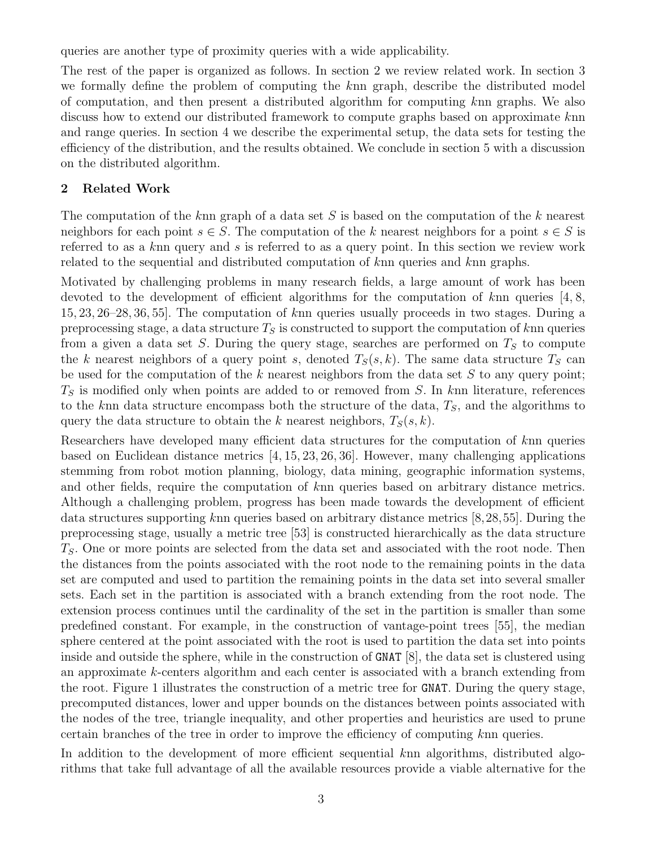queries are another type of proximity queries with a wide applicability.

The rest of the paper is organized as follows. In section 2 we review related work. In section 3 we formally define the problem of computing the knn graph, describe the distributed model of computation, and then present a distributed algorithm for computing knn graphs. We also discuss how to extend our distributed framework to compute graphs based on approximate knn and range queries. In section 4 we describe the experimental setup, the data sets for testing the efficiency of the distribution, and the results obtained. We conclude in section 5 with a discussion on the distributed algorithm.

### 2 Related Work

The computation of the knn graph of a data set S is based on the computation of the k nearest neighbors for each point  $s \in S$ . The computation of the k nearest neighbors for a point  $s \in S$  is referred to as a knn query and s is referred to as a query point. In this section we review work related to the sequential and distributed computation of knn queries and knn graphs.

Motivated by challenging problems in many research fields, a large amount of work has been devoted to the development of efficient algorithms for the computation of  $k$ nn queries [4, 8, 15, 23, 26–28, 36, 55]. The computation of knn queries usually proceeds in two stages. During a preprocessing stage, a data structure  $T<sub>S</sub>$  is constructed to support the computation of knn queries from a given a data set S. During the query stage, searches are performed on  $T<sub>S</sub>$  to compute the k nearest neighbors of a query point s, denoted  $T_S(s, k)$ . The same data structure  $T_S$  can be used for the computation of the k nearest neighbors from the data set S to any query point;  $T<sub>S</sub>$  is modified only when points are added to or removed from S. In knn literature, references to the knn data structure encompass both the structure of the data,  $T<sub>S</sub>$ , and the algorithms to query the data structure to obtain the k nearest neighbors,  $T_S(s, k)$ .

Researchers have developed many efficient data structures for the computation of knn queries based on Euclidean distance metrics [4, 15, 23, 26, 36]. However, many challenging applications stemming from robot motion planning, biology, data mining, geographic information systems, and other fields, require the computation of knn queries based on arbitrary distance metrics. Although a challenging problem, progress has been made towards the development of efficient data structures supporting knn queries based on arbitrary distance metrics [8,28,55]. During the preprocessing stage, usually a metric tree [53] is constructed hierarchically as the data structure  $T<sub>S</sub>$ . One or more points are selected from the data set and associated with the root node. Then the distances from the points associated with the root node to the remaining points in the data set are computed and used to partition the remaining points in the data set into several smaller sets. Each set in the partition is associated with a branch extending from the root node. The extension process continues until the cardinality of the set in the partition is smaller than some predefined constant. For example, in the construction of vantage-point trees [55], the median sphere centered at the point associated with the root is used to partition the data set into points inside and outside the sphere, while in the construction of GNAT [8], the data set is clustered using an approximate k-centers algorithm and each center is associated with a branch extending from the root. Figure 1 illustrates the construction of a metric tree for GNAT. During the query stage, precomputed distances, lower and upper bounds on the distances between points associated with the nodes of the tree, triangle inequality, and other properties and heuristics are used to prune certain branches of the tree in order to improve the efficiency of computing knn queries.

In addition to the development of more efficient sequential knn algorithms, distributed algorithms that take full advantage of all the available resources provide a viable alternative for the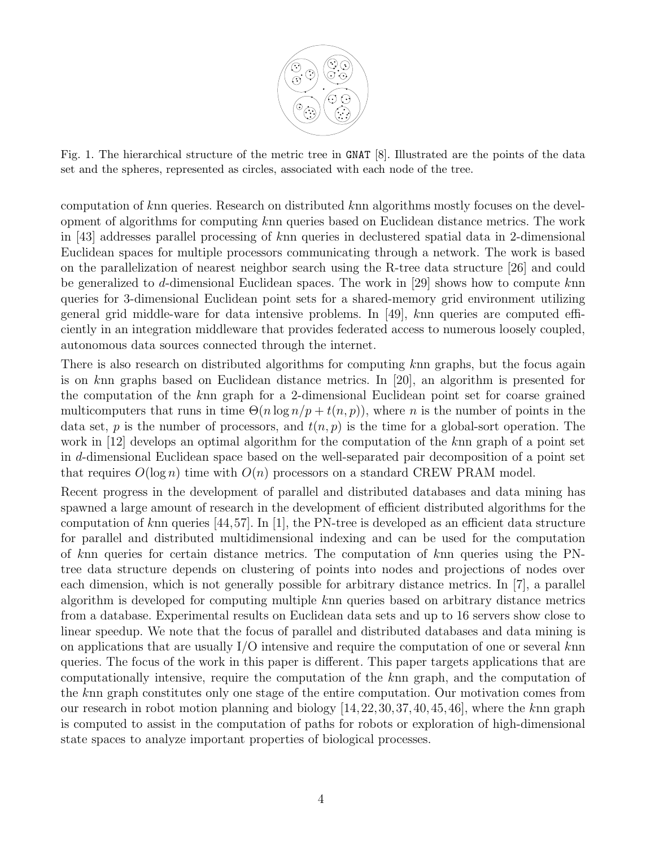

Fig. 1. The hierarchical structure of the metric tree in GNAT [8]. Illustrated are the points of the data set and the spheres, represented as circles, associated with each node of the tree.

computation of knn queries. Research on distributed knn algorithms mostly focuses on the development of algorithms for computing knn queries based on Euclidean distance metrics. The work in [43] addresses parallel processing of knn queries in declustered spatial data in 2-dimensional Euclidean spaces for multiple processors communicating through a network. The work is based on the parallelization of nearest neighbor search using the R-tree data structure [26] and could be generalized to d-dimensional Euclidean spaces. The work in [29] shows how to compute knn queries for 3-dimensional Euclidean point sets for a shared-memory grid environment utilizing general grid middle-ware for data intensive problems. In [49], knn queries are computed efficiently in an integration middleware that provides federated access to numerous loosely coupled, autonomous data sources connected through the internet.

There is also research on distributed algorithms for computing knn graphs, but the focus again is on knn graphs based on Euclidean distance metrics. In [20], an algorithm is presented for the computation of the knn graph for a 2-dimensional Euclidean point set for coarse grained multicomputers that runs in time  $\Theta(n \log n/p + t(n, p))$ , where n is the number of points in the data set, p is the number of processors, and  $t(n, p)$  is the time for a global-sort operation. The work in [12] develops an optimal algorithm for the computation of the knn graph of a point set in d-dimensional Euclidean space based on the well-separated pair decomposition of a point set that requires  $O(\log n)$  time with  $O(n)$  processors on a standard CREW PRAM model.

Recent progress in the development of parallel and distributed databases and data mining has spawned a large amount of research in the development of efficient distributed algorithms for the computation of knn queries  $[44,57]$ . In [1], the PN-tree is developed as an efficient data structure for parallel and distributed multidimensional indexing and can be used for the computation of knn queries for certain distance metrics. The computation of knn queries using the PNtree data structure depends on clustering of points into nodes and projections of nodes over each dimension, which is not generally possible for arbitrary distance metrics. In [7], a parallel algorithm is developed for computing multiple knn queries based on arbitrary distance metrics from a database. Experimental results on Euclidean data sets and up to 16 servers show close to linear speedup. We note that the focus of parallel and distributed databases and data mining is on applications that are usually I/O intensive and require the computation of one or several knn queries. The focus of the work in this paper is different. This paper targets applications that are computationally intensive, require the computation of the knn graph, and the computation of the knn graph constitutes only one stage of the entire computation. Our motivation comes from our research in robot motion planning and biology  $[14, 22, 30, 37, 40, 45, 46]$ , where the knn graph is computed to assist in the computation of paths for robots or exploration of high-dimensional state spaces to analyze important properties of biological processes.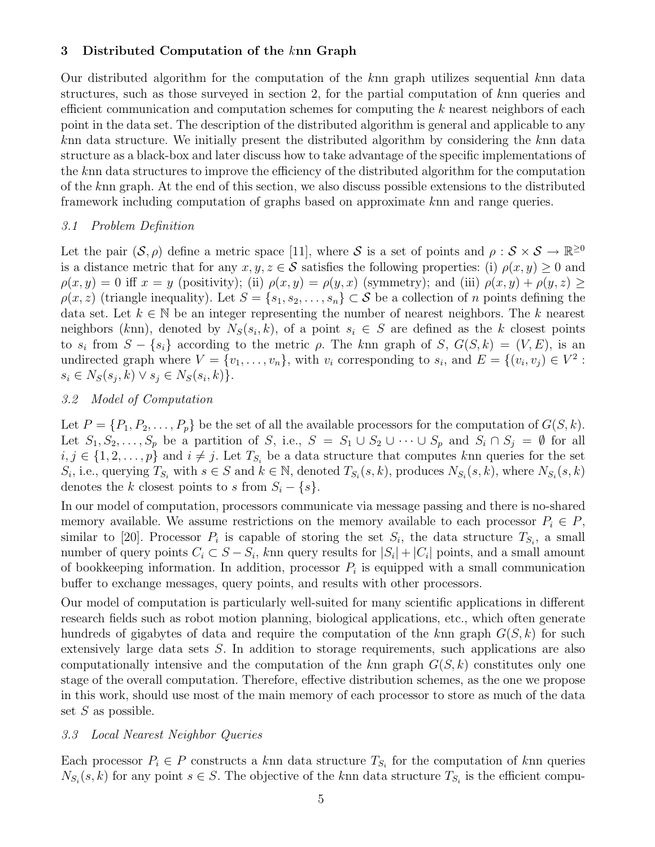### 3 Distributed Computation of the knn Graph

Our distributed algorithm for the computation of the knn graph utilizes sequential knn data structures, such as those surveyed in section 2, for the partial computation of knn queries and efficient communication and computation schemes for computing the  $k$  nearest neighbors of each point in the data set. The description of the distributed algorithm is general and applicable to any knn data structure. We initially present the distributed algorithm by considering the knn data structure as a black-box and later discuss how to take advantage of the specific implementations of the knn data structures to improve the efficiency of the distributed algorithm for the computation of the knn graph. At the end of this section, we also discuss possible extensions to the distributed framework including computation of graphs based on approximate knn and range queries.

#### 3.1 Problem Definition

Let the pair  $(S, \rho)$  define a metric space [11], where S is a set of points and  $\rho : S \times S \to \mathbb{R}^{\geq 0}$ is a distance metric that for any  $x, y, z \in S$  satisfies the following properties: (i)  $\rho(x, y) \geq 0$  and  $\rho(x, y) = 0$  iff  $x = y$  (positivity); (ii)  $\rho(x, y) = \rho(y, x)$  (symmetry); and (iii)  $\rho(x, y) + \rho(y, z) \ge$  $\rho(x, z)$  (triangle inequality). Let  $S = \{s_1, s_2, \ldots, s_n\} \subset S$  be a collection of n points defining the data set. Let  $k \in \mathbb{N}$  be an integer representing the number of nearest neighbors. The k nearest neighbors (knn), denoted by  $N_S(s_i, k)$ , of a point  $s_i \in S$  are defined as the k closest points to  $s_i$  from  $S - \{s_i\}$  according to the metric  $\rho$ . The knn graph of  $S, G(S, k) = (V, E),$  is an undirected graph where  $V = \{v_1, \ldots, v_n\}$ , with  $v_i$  corresponding to  $s_i$ , and  $E = \{(v_i, v_j) \in V^2$ :  $s_i \in N_S(s_j, k) \vee s_j \in N_S(s_i, k)$ .

#### 3.2 Model of Computation

Let  $P = \{P_1, P_2, \ldots, P_p\}$  be the set of all the available processors for the computation of  $G(S, k)$ . Let  $S_1, S_2, \ldots, S_p$  be a partition of S, i.e.,  $S = S_1 \cup S_2 \cup \cdots \cup S_p$  and  $S_i \cap S_j = \emptyset$  for all  $i, j \in \{1, 2, \ldots, p\}$  and  $i \neq j$ . Let  $T_{S_i}$  be a data structure that computes knn queries for the set  $S_i$ , i.e., querying  $T_{S_i}$  with  $s \in S$  and  $k \in \mathbb{N}$ , denoted  $T_{S_i}(s, k)$ , produces  $N_{S_i}(s, k)$ , where  $N_{S_i}(s, k)$ denotes the k closest points to s from  $S_i - \{s\}.$ 

In our model of computation, processors communicate via message passing and there is no-shared memory available. We assume restrictions on the memory available to each processor  $P_i \in P$ , similar to [20]. Processor  $P_i$  is capable of storing the set  $S_i$ , the data structure  $T_{S_i}$ , a small number of query points  $C_i \subset S - S_i$ , knn query results for  $|S_i| + |C_i|$  points, and a small amount of bookkeeping information. In addition, processor  $P_i$  is equipped with a small communication buffer to exchange messages, query points, and results with other processors.

Our model of computation is particularly well-suited for many scientific applications in different research fields such as robot motion planning, biological applications, etc., which often generate hundreds of gigabytes of data and require the computation of the knn graph  $G(S, k)$  for such extensively large data sets S. In addition to storage requirements, such applications are also computationally intensive and the computation of the knn graph  $G(S, k)$  constitutes only one stage of the overall computation. Therefore, effective distribution schemes, as the one we propose in this work, should use most of the main memory of each processor to store as much of the data set  $S$  as possible.

#### 3.3 Local Nearest Neighbor Queries

Each processor  $P_i \in P$  constructs a knn data structure  $T_{S_i}$  for the computation of knn queries  $N_{S_i}(s, k)$  for any point  $s \in S$ . The objective of the knn data structure  $T_{S_i}$  is the efficient compu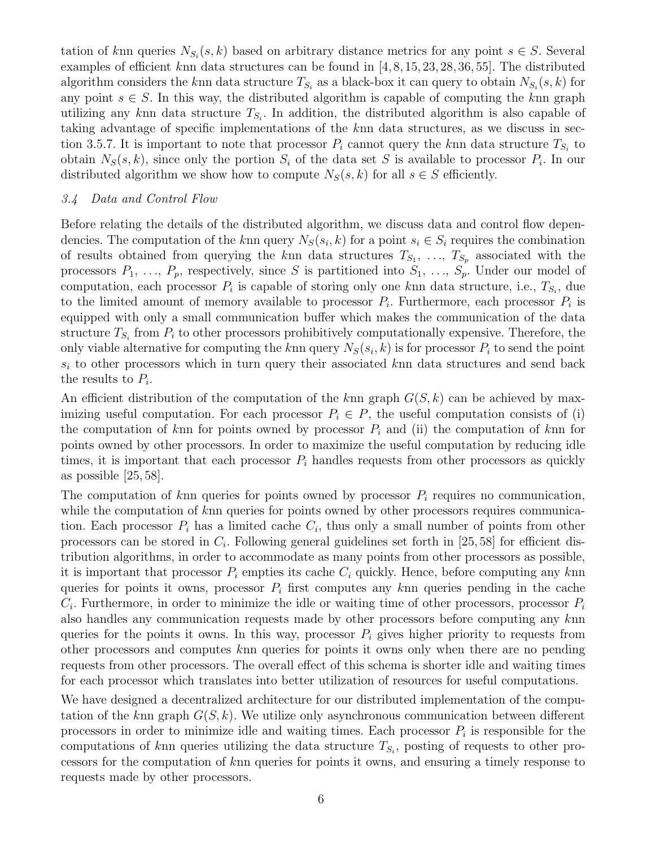tation of knn queries  $N_{S_i}(s, k)$  based on arbitrary distance metrics for any point  $s \in S$ . Several examples of efficient knn data structures can be found in [4, 8, 15, 23, 28, 36, 55]. The distributed algorithm considers the knn data structure  $T_{S_i}$  as a black-box it can query to obtain  $N_{S_i}(s, k)$  for any point  $s \in S$ . In this way, the distributed algorithm is capable of computing the knn graph utilizing any knn data structure  $T_{S_i}$ . In addition, the distributed algorithm is also capable of taking advantage of specific implementations of the knn data structures, as we discuss in section 3.5.7. It is important to note that processor  $P_i$  cannot query the knn data structure  $T_{S_i}$  to obtain  $N_S(s, k)$ , since only the portion  $S_i$  of the data set S is available to processor  $P_i$ . In our distributed algorithm we show how to compute  $N_S(s, k)$  for all  $s \in S$  efficiently.

#### 3.4 Data and Control Flow

Before relating the details of the distributed algorithm, we discuss data and control flow dependencies. The computation of the knn query  $N_S(s_i, k)$  for a point  $s_i \in S_i$  requires the combination of results obtained from querying the knn data structures  $T_{S_1}, \ldots, T_{S_p}$  associated with the processors  $P_1, \ldots, P_p$ , respectively, since S is partitioned into  $S_1, \ldots, S_p$ . Under our model of computation, each processor  $P_i$  is capable of storing only one knn data structure, i.e.,  $T_{S_i}$ , due to the limited amount of memory available to processor  $P_i$ . Furthermore, each processor  $P_i$  is equipped with only a small communication buffer which makes the communication of the data structure  $T_{S_i}$  from  $P_i$  to other processors prohibitively computationally expensive. Therefore, the only viable alternative for computing the knn query  $N_S(s_i, k)$  is for processor  $P_i$  to send the point  $s_i$  to other processors which in turn query their associated knn data structures and send back the results to  $P_i$ .

An efficient distribution of the computation of the knn graph  $G(S, k)$  can be achieved by maximizing useful computation. For each processor  $P_i \in P$ , the useful computation consists of (i) the computation of knn for points owned by processor  $P_i$  and (ii) the computation of knn for points owned by other processors. In order to maximize the useful computation by reducing idle times, it is important that each processor  $P_i$  handles requests from other processors as quickly as possible [25, 58].

The computation of knn queries for points owned by processor  $P_i$  requires no communication, while the computation of knn queries for points owned by other processors requires communication. Each processor  $P_i$  has a limited cache  $C_i$ , thus only a small number of points from other processors can be stored in  $C_i$ . Following general guidelines set forth in [25,58] for efficient distribution algorithms, in order to accommodate as many points from other processors as possible, it is important that processor  $P_i$  empties its cache  $C_i$  quickly. Hence, before computing any knn queries for points it owns, processor  $P_i$  first computes any knn queries pending in the cache  $C_i$ . Furthermore, in order to minimize the idle or waiting time of other processors, processor  $P_i$ also handles any communication requests made by other processors before computing any knn queries for the points it owns. In this way, processor  $P_i$  gives higher priority to requests from other processors and computes knn queries for points it owns only when there are no pending requests from other processors. The overall effect of this schema is shorter idle and waiting times for each processor which translates into better utilization of resources for useful computations.

We have designed a decentralized architecture for our distributed implementation of the computation of the knn graph  $G(S, k)$ . We utilize only asynchronous communication between different processors in order to minimize idle and waiting times. Each processor  $P_i$  is responsible for the computations of knn queries utilizing the data structure  $T_{S_i}$ , posting of requests to other processors for the computation of knn queries for points it owns, and ensuring a timely response to requests made by other processors.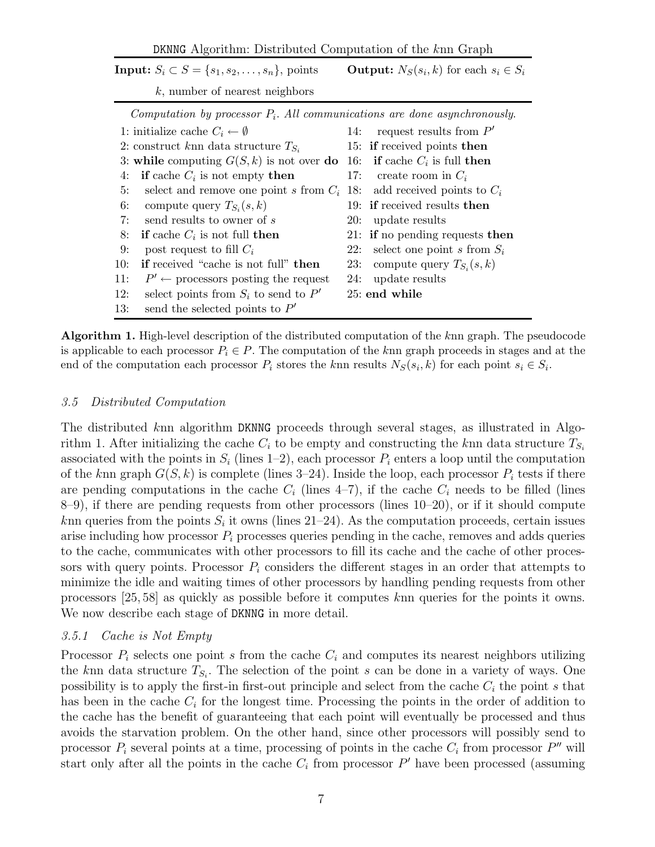DKNNG Algorithm: Distributed Computation of the knn Graph

|     | Input: $S_i \subset S = \{s_1, s_2, \ldots, s_n\}$ , points                  | <b>Output:</b> $N_S(s_i, k)$ for each $s_i \in S_i$ |                                  |  |  |
|-----|------------------------------------------------------------------------------|-----------------------------------------------------|----------------------------------|--|--|
|     | $k$ , number of nearest neighbors                                            |                                                     |                                  |  |  |
|     | Computation by processor $P_i$ . All communications are done asynchronously. |                                                     |                                  |  |  |
|     | 1: initialize cache $C_i \leftarrow \emptyset$                               | 14:                                                 | request results from $P'$        |  |  |
|     | 2: construct knn data structure $T_{S_i}$                                    |                                                     | 15: if received points then      |  |  |
|     | 3: while computing $G(S, k)$ is not over do                                  |                                                     | 16: if cache $C_i$ is full then  |  |  |
| 4:  | if cache $C_i$ is not empty then                                             | 17:                                                 | create room in $C_i$             |  |  |
| 5:  | select and remove one point s from $C_i$                                     |                                                     | 18: add received points to $C_i$ |  |  |
| 6:  | compute query $T_{S_i}(s,k)$                                                 |                                                     | 19: if received results then     |  |  |
| 7:  | send results to owner of s                                                   |                                                     | 20: update results               |  |  |
| 8:  | <b>if</b> cache $C_i$ is not full <b>then</b>                                |                                                     | 21: if no pending requests then  |  |  |
| 9:  | post request to fill $C_i$                                                   | 22:                                                 | select one point s from $S_i$    |  |  |
| 10: | if received "cache is not full" then                                         | 23:                                                 | compute query $T_{S_i}(s,k)$     |  |  |
| 11: | $P' \leftarrow$ processors posting the request                               | 24:                                                 | update results                   |  |  |
| 12: | select points from $S_i$ to send to P'                                       |                                                     | 25: end while                    |  |  |
| 13: | send the selected points to $P'$                                             |                                                     |                                  |  |  |

Algorithm 1. High-level description of the distributed computation of the knn graph. The pseudocode is applicable to each processor  $P_i \in P$ . The computation of the knn graph proceeds in stages and at the end of the computation each processor  $P_i$  stores the knn results  $N_S(s_i, k)$  for each point  $s_i \in S_i$ .

#### 3.5 Distributed Computation

The distributed knn algorithm DKNNG proceeds through several stages, as illustrated in Algorithm 1. After initializing the cache  $C_i$  to be empty and constructing the knn data structure  $T_{S_i}$ associated with the points in  $S_i$  (lines 1–2), each processor  $P_i$  enters a loop until the computation of the knn graph  $G(S, k)$  is complete (lines 3–24). Inside the loop, each processor  $P_i$  tests if there are pending computations in the cache  $C_i$  (lines 4–7), if the cache  $C_i$  needs to be filled (lines 8–9), if there are pending requests from other processors (lines 10–20), or if it should compute knn queries from the points  $S_i$  it owns (lines 21–24). As the computation proceeds, certain issues arise including how processor  $P_i$  processes queries pending in the cache, removes and adds queries to the cache, communicates with other processors to fill its cache and the cache of other processors with query points. Processor  $P_i$  considers the different stages in an order that attempts to minimize the idle and waiting times of other processors by handling pending requests from other processors [25, 58] as quickly as possible before it computes knn queries for the points it owns. We now describe each stage of DKNNG in more detail.

### 3.5.1 Cache is Not Empty

Processor  $P_i$  selects one point s from the cache  $C_i$  and computes its nearest neighbors utilizing the knn data structure  $T_{S_i}$ . The selection of the point s can be done in a variety of ways. One possibility is to apply the first-in first-out principle and select from the cache  $C_i$  the point s that has been in the cache  $C_i$  for the longest time. Processing the points in the order of addition to the cache has the benefit of guaranteeing that each point will eventually be processed and thus avoids the starvation problem. On the other hand, since other processors will possibly send to processor  $P_i$  several points at a time, processing of points in the cache  $C_i$  from processor  $P''$  will start only after all the points in the cache  $C_i$  from processor  $P'$  have been processed (assuming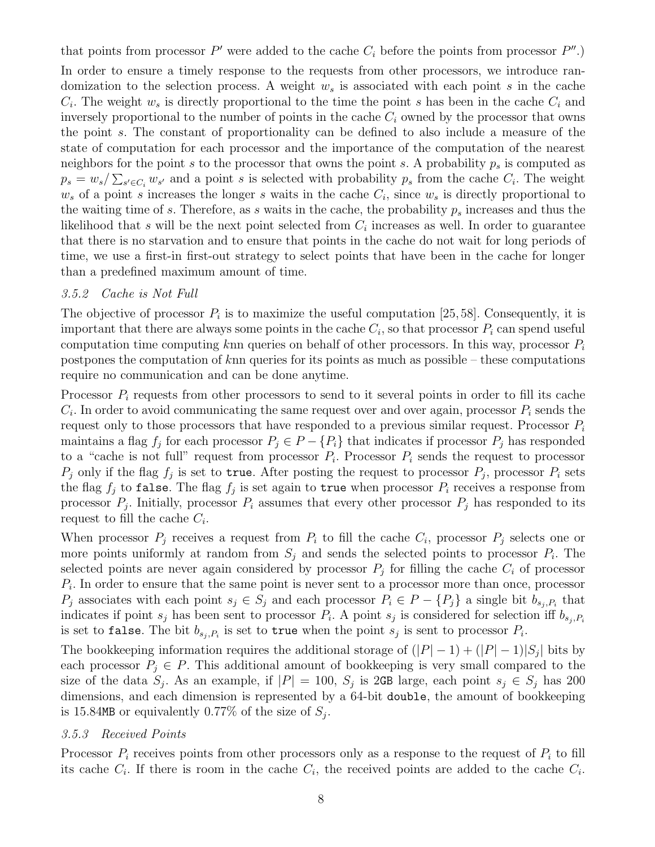that points from processor  $P'$  were added to the cache  $C_i$  before the points from processor  $P''$ .) In order to ensure a timely response to the requests from other processors, we introduce randomization to the selection process. A weight  $w<sub>s</sub>$  is associated with each point s in the cache  $C_i$ . The weight  $w_s$  is directly proportional to the time the point s has been in the cache  $C_i$  and inversely proportional to the number of points in the cache  $C_i$  owned by the processor that owns the point s. The constant of proportionality can be defined to also include a measure of the state of computation for each processor and the importance of the computation of the nearest neighbors for the point s to the processor that owns the point s. A probability  $p_s$  is computed as  $p_s = w_s / \sum_{s' \in C_i} w_{s'}$  and a point s is selected with probability  $p_s$  from the cache  $C_i$ . The weight  $w_s$  of a point s increases the longer s waits in the cache  $C_i$ , since  $w_s$  is directly proportional to the waiting time of s. Therefore, as s waits in the cache, the probability  $p_s$  increases and thus the likelihood that s will be the next point selected from  $C_i$  increases as well. In order to guarantee that there is no starvation and to ensure that points in the cache do not wait for long periods of time, we use a first-in first-out strategy to select points that have been in the cache for longer than a predefined maximum amount of time.

#### 3.5.2 Cache is Not Full

The objective of processor  $P_i$  is to maximize the useful computation [25, 58]. Consequently, it is important that there are always some points in the cache  $C_i$ , so that processor  $P_i$  can spend useful computation time computing knn queries on behalf of other processors. In this way, processor  $P_i$ postpones the computation of knn queries for its points as much as possible – these computations require no communication and can be done anytime.

Processor  $P_i$  requests from other processors to send to it several points in order to fill its cache  $C_i$ . In order to avoid communicating the same request over and over again, processor  $P_i$  sends the request only to those processors that have responded to a previous similar request. Processor  $P_i$ maintains a flag  $f_j$  for each processor  $P_j \in P - \{P_i\}$  that indicates if processor  $P_j$  has responded to a "cache is not full" request from processor  $P_i$ . Processor  $P_i$  sends the request to processor  $P_j$  only if the flag  $f_j$  is set to true. After posting the request to processor  $P_j$ , processor  $P_i$  sets the flag  $f_j$  to false. The flag  $f_j$  is set again to true when processor  $P_i$  receives a response from processor  $P_j$ . Initially, processor  $P_i$  assumes that every other processor  $P_j$  has responded to its request to fill the cache  $C_i$ .

When processor  $P_j$  receives a request from  $P_i$  to fill the cache  $C_i$ , processor  $P_j$  selects one or more points uniformly at random from  $S_j$  and sends the selected points to processor  $P_i$ . The selected points are never again considered by processor  $P_j$  for filling the cache  $C_i$  of processor  $P_i$ . In order to ensure that the same point is never sent to a processor more than once, processor  $P_j$  associates with each point  $s_j \in S_j$  and each processor  $P_i \in P - \{P_j\}$  a single bit  $b_{s_j, P_i}$  that indicates if point  $s_j$  has been sent to processor  $P_i$ . A point  $s_j$  is considered for selection iff  $b_{s_j,P_i}$ is set to false. The bit  $b_{s_j,P_i}$  is set to true when the point  $s_j$  is sent to processor  $P_i$ .

The bookkeeping information requires the additional storage of  $(|P|-1) + (|P|-1)|S_j|$  bits by each processor  $P_i \in P$ . This additional amount of bookkeeping is very small compared to the size of the data  $S_j$ . As an example, if  $|P| = 100$ ,  $S_j$  is 2GB large, each point  $s_j \in S_j$  has 200 dimensions, and each dimension is represented by a 64-bit double, the amount of bookkeeping is 15.84MB or equivalently 0.77% of the size of  $S_j$ .

#### 3.5.3 Received Points

Processor  $P_i$  receives points from other processors only as a response to the request of  $P_i$  to fill its cache  $C_i$ . If there is room in the cache  $C_i$ , the received points are added to the cache  $C_i$ .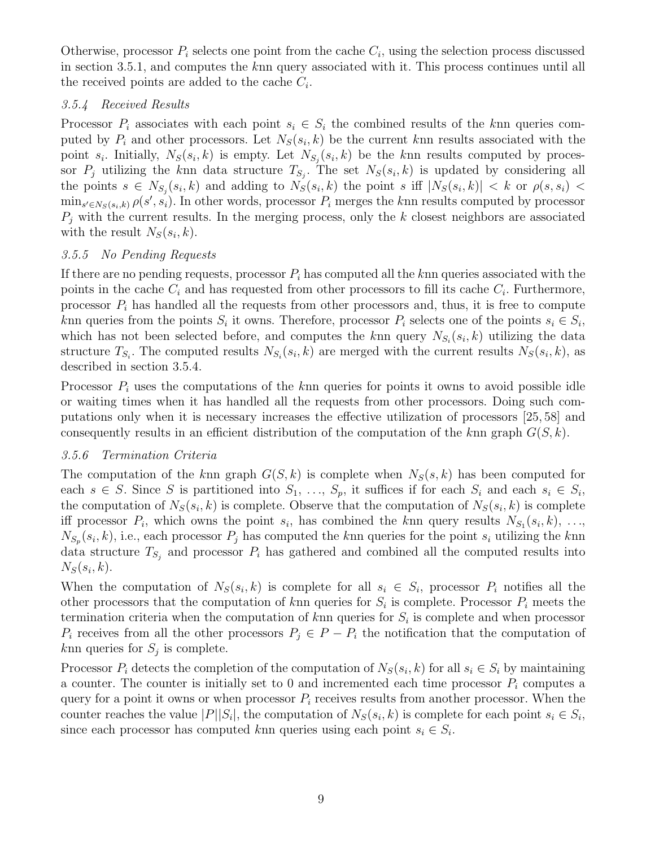Otherwise, processor  $P_i$  selects one point from the cache  $C_i$ , using the selection process discussed in section 3.5.1, and computes the knn query associated with it. This process continues until all the received points are added to the cache  $C_i$ .

### 3.5.4 Received Results

Processor  $P_i$  associates with each point  $s_i \in S_i$  the combined results of the knn queries computed by  $P_i$  and other processors. Let  $N_S(s_i, k)$  be the current knn results associated with the point  $s_i$ . Initially,  $N_S(s_i, k)$  is empty. Let  $N_{S_j}(s_i, k)$  be the knn results computed by processor  $P_j$  utilizing the knn data structure  $T_{S_j}$ . The set  $N_S(s_i, k)$  is updated by considering all the points  $s \in N_{S_j}(s_i,k)$  and adding to  $N_S(s_i,k)$  the point s iff  $|N_S(s_i,k)| < k$  or  $\rho(s,s_i) <$  $\min_{s' \in N_S(s_i, k)} \rho(s', s_i)$ . In other words, processor  $P_i$  merges the knn results computed by processor  $P_i$  with the current results. In the merging process, only the k closest neighbors are associated with the result  $N_S(s_i, k)$ .

### 3.5.5 No Pending Requests

If there are no pending requests, processor  $P_i$  has computed all the knn queries associated with the points in the cache  $C_i$  and has requested from other processors to fill its cache  $C_i$ . Furthermore, processor  $P_i$  has handled all the requests from other processors and, thus, it is free to compute knn queries from the points  $S_i$  it owns. Therefore, processor  $P_i$  selects one of the points  $s_i \in S_i$ , which has not been selected before, and computes the knn query  $N_{S_i}(s_i, k)$  utilizing the data structure  $T_{S_i}$ . The computed results  $N_{S_i}(s_i, k)$  are merged with the current results  $N_S(s_i, k)$ , as described in section 3.5.4.

Processor  $P_i$  uses the computations of the knn queries for points it owns to avoid possible idle or waiting times when it has handled all the requests from other processors. Doing such computations only when it is necessary increases the effective utilization of processors [25, 58] and consequently results in an efficient distribution of the computation of the knn graph  $G(S, k)$ .

# 3.5.6 Termination Criteria

The computation of the knn graph  $G(S, k)$  is complete when  $N_S(s, k)$  has been computed for each  $s \in S$ . Since S is partitioned into  $S_1, \ldots, S_p$ , it suffices if for each  $S_i$  and each  $s_i \in S_i$ , the computation of  $N_S(s_i, k)$  is complete. Observe that the computation of  $N_S(s_i, k)$  is complete iff processor  $P_i$ , which owns the point  $s_i$ , has combined the knn query results  $N_{S_1}(s_i,k), \ldots$  $N_{S_p}(s_i, k)$ , i.e., each processor  $P_j$  has computed the knn queries for the point  $s_i$  utilizing the knn data structure  $T_{S_j}$  and processor  $P_i$  has gathered and combined all the computed results into  $N_S(s_i,k)$ .

When the computation of  $N_S(s_i, k)$  is complete for all  $s_i \in S_i$ , processor  $P_i$  notifies all the other processors that the computation of knn queries for  $S_i$  is complete. Processor  $P_i$  meets the termination criteria when the computation of  $k$ nn queries for  $S_i$  is complete and when processor  $P_i$  receives from all the other processors  $P_j \in P - P_i$  the notification that the computation of  $k$ nn queries for  $S_j$  is complete.

Processor  $P_i$  detects the completion of the computation of  $N_S(s_i, k)$  for all  $s_i \in S_i$  by maintaining a counter. The counter is initially set to 0 and incremented each time processor  $P_i$  computes a query for a point it owns or when processor  $P_i$  receives results from another processor. When the counter reaches the value  $|P||S_i|$ , the computation of  $N_S(s_i, k)$  is complete for each point  $s_i \in S_i$ , since each processor has computed knn queries using each point  $s_i \in S_i$ .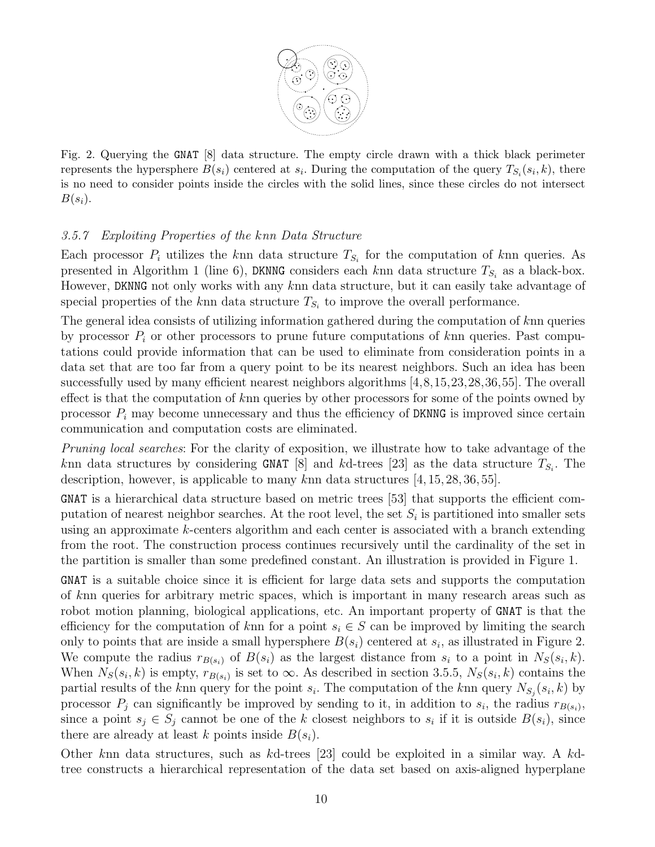

Fig. 2. Querying the GNAT [8] data structure. The empty circle drawn with a thick black perimeter represents the hypersphere  $B(s_i)$  centered at  $s_i$ . During the computation of the query  $T_{S_i}(s_i, k)$ , there is no need to consider points inside the circles with the solid lines, since these circles do not intersect  $B(s_i)$ .

### 3.5.7 Exploiting Properties of the knn Data Structure

Each processor  $P_i$  utilizes the knn data structure  $T_{S_i}$  for the computation of knn queries. As presented in Algorithm 1 (line 6), DKNNG considers each knn data structure  $T_{S_i}$  as a black-box. However, DKNNG not only works with any knn data structure, but it can easily take advantage of special properties of the knn data structure  $T_{S_i}$  to improve the overall performance.

The general idea consists of utilizing information gathered during the computation of knn queries by processor  $P_i$  or other processors to prune future computations of knn queries. Past computations could provide information that can be used to eliminate from consideration points in a data set that are too far from a query point to be its nearest neighbors. Such an idea has been successfully used by many efficient nearest neighbors algorithms [4,8,15,23,28,36,55]. The overall effect is that the computation of knn queries by other processors for some of the points owned by processor  $P_i$  may become unnecessary and thus the efficiency of DKNNG is improved since certain communication and computation costs are eliminated.

Pruning local searches: For the clarity of exposition, we illustrate how to take advantage of the knn data structures by considering GNAT [8] and kd-trees [23] as the data structure  $T_{S_i}$ . The description, however, is applicable to many knn data structures  $[4, 15, 28, 36, 55]$ .

GNAT is a hierarchical data structure based on metric trees [53] that supports the efficient computation of nearest neighbor searches. At the root level, the set  $S_i$  is partitioned into smaller sets using an approximate  $k$ -centers algorithm and each center is associated with a branch extending from the root. The construction process continues recursively until the cardinality of the set in the partition is smaller than some predefined constant. An illustration is provided in Figure 1.

GNAT is a suitable choice since it is efficient for large data sets and supports the computation of knn queries for arbitrary metric spaces, which is important in many research areas such as robot motion planning, biological applications, etc. An important property of GNAT is that the efficiency for the computation of knn for a point  $s_i \in S$  can be improved by limiting the search only to points that are inside a small hypersphere  $B(s_i)$  centered at  $s_i$ , as illustrated in Figure 2. We compute the radius  $r_{B(s_i)}$  of  $B(s_i)$  as the largest distance from  $s_i$  to a point in  $N_S(s_i, k)$ . When  $N_S(s_i, k)$  is empty,  $r_{B(s_i)}$  is set to  $\infty$ . As described in section 3.5.5,  $N_S(s_i, k)$  contains the partial results of the knn query for the point  $s_i$ . The computation of the knn query  $N_{S_j}(s_i, k)$  by processor  $P_j$  can significantly be improved by sending to it, in addition to  $s_i$ , the radius  $r_{B(s_i)}$ , since a point  $s_j \in S_j$  cannot be one of the k closest neighbors to  $s_i$  if it is outside  $B(s_i)$ , since there are already at least k points inside  $B(s_i)$ .

Other knn data structures, such as kd-trees [23] could be exploited in a similar way. A kdtree constructs a hierarchical representation of the data set based on axis-aligned hyperplane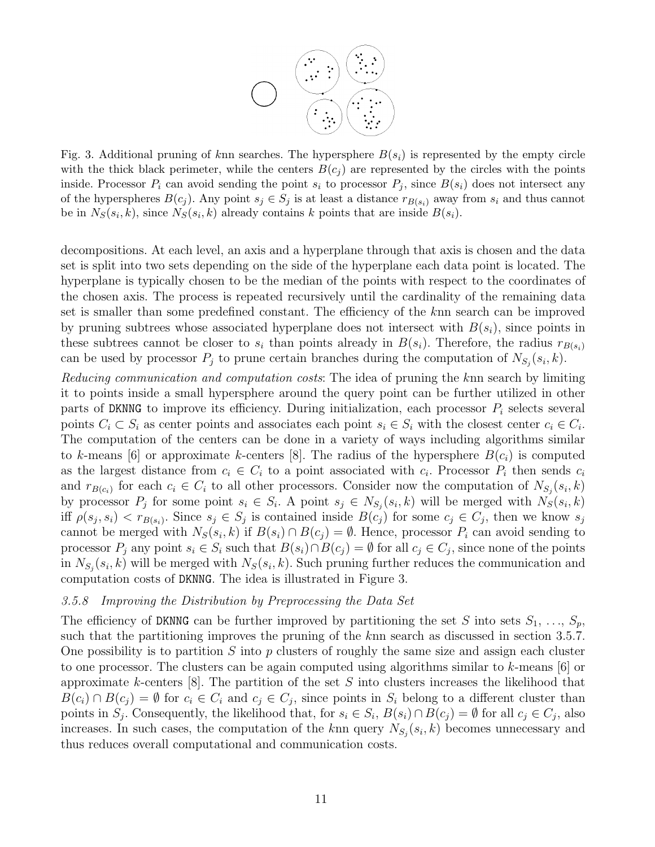

Fig. 3. Additional pruning of knn searches. The hypersphere  $B(s_i)$  is represented by the empty circle with the thick black perimeter, while the centers  $B(c_i)$  are represented by the circles with the points inside. Processor  $P_i$  can avoid sending the point  $s_i$  to processor  $P_j$ , since  $B(s_i)$  does not intersect any of the hyperspheres  $B(c_j)$ . Any point  $s_j \in S_j$  is at least a distance  $r_{B(s_i)}$  away from  $s_i$  and thus cannot be in  $N_S(s_i, k)$ , since  $N_S(s_i, k)$  already contains k points that are inside  $B(s_i)$ .

decompositions. At each level, an axis and a hyperplane through that axis is chosen and the data set is split into two sets depending on the side of the hyperplane each data point is located. The hyperplane is typically chosen to be the median of the points with respect to the coordinates of the chosen axis. The process is repeated recursively until the cardinality of the remaining data set is smaller than some predefined constant. The efficiency of the knn search can be improved by pruning subtrees whose associated hyperplane does not intersect with  $B(s_i)$ , since points in these subtrees cannot be closer to  $s_i$  than points already in  $B(s_i)$ . Therefore, the radius  $r_{B(s_i)}$ can be used by processor  $P_j$  to prune certain branches during the computation of  $N_{S_j}(s_i, k)$ .

Reducing communication and computation costs: The idea of pruning the knn search by limiting it to points inside a small hypersphere around the query point can be further utilized in other parts of DKNNG to improve its efficiency. During initialization, each processor  $P_i$  selects several points  $C_i \subset S_i$  as center points and associates each point  $s_i \in S_i$  with the closest center  $c_i \in C_i$ . The computation of the centers can be done in a variety of ways including algorithms similar to k-means [6] or approximate k-centers [8]. The radius of the hypersphere  $B(c_i)$  is computed as the largest distance from  $c_i \in C_i$  to a point associated with  $c_i$ . Processor  $P_i$  then sends  $c_i$ and  $r_{B(c_i)}$  for each  $c_i \in C_i$  to all other processors. Consider now the computation of  $N_{S_j}(s_i, k)$ by processor  $P_j$  for some point  $s_i \in S_i$ . A point  $s_j \in N_{S_j}(s_i, k)$  will be merged with  $N_S(s_i, k)$ iff  $\rho(s_j, s_i) < r_{B(s_i)}$ . Since  $s_j \in S_j$  is contained inside  $B(c_j)$  for some  $c_j \in C_j$ , then we know  $s_j$ cannot be merged with  $N_S(s_i, k)$  if  $B(s_i) \cap B(c_j) = \emptyset$ . Hence, processor  $P_i$  can avoid sending to processor  $P_j$  any point  $s_i \in S_i$  such that  $B(s_i) \cap B(c_j) = \emptyset$  for all  $c_j \in C_j$ , since none of the points in  $N_{S_j}(s_i, k)$  will be merged with  $N_S(s_i, k)$ . Such pruning further reduces the communication and computation costs of DKNNG. The idea is illustrated in Figure 3.

#### 3.5.8 Improving the Distribution by Preprocessing the Data Set

The efficiency of DKNNG can be further improved by partitioning the set S into sets  $S_1, \ldots, S_p$ , such that the partitioning improves the pruning of the knn search as discussed in section 3.5.7. One possibility is to partition  $S$  into  $p$  clusters of roughly the same size and assign each cluster to one processor. The clusters can be again computed using algorithms similar to k-means  $\lceil 6 \rceil$  or approximate k-centers  $[8]$ . The partition of the set S into clusters increases the likelihood that  $B(c_i) \cap B(c_j) = \emptyset$  for  $c_i \in C_i$  and  $c_j \in C_j$ , since points in  $S_i$  belong to a different cluster than points in  $S_j$ . Consequently, the likelihood that, for  $s_i \in S_i$ ,  $B(s_i) \cap B(c_j) = \emptyset$  for all  $c_j \in C_j$ , also increases. In such cases, the computation of the knn query  $N_{S_j}(s_i, k)$  becomes unnecessary and thus reduces overall computational and communication costs.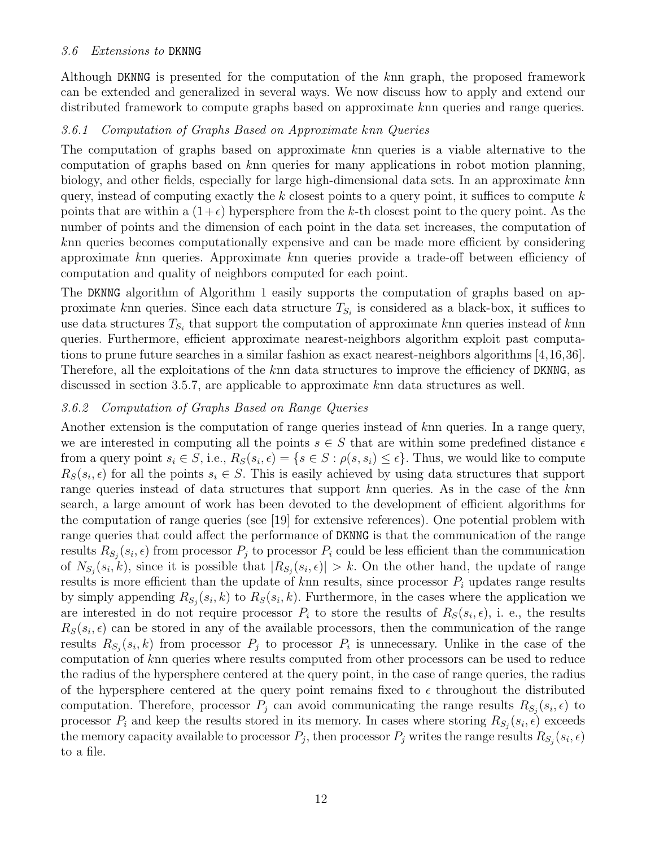### 3.6 Extensions to DKNNG

Although DKNNG is presented for the computation of the knn graph, the proposed framework can be extended and generalized in several ways. We now discuss how to apply and extend our distributed framework to compute graphs based on approximate knn queries and range queries.

### 3.6.1 Computation of Graphs Based on Approximate knn Queries

The computation of graphs based on approximate knn queries is a viable alternative to the computation of graphs based on knn queries for many applications in robot motion planning, biology, and other fields, especially for large high-dimensional data sets. In an approximate knn query, instead of computing exactly the k closest points to a query point, it suffices to compute  $k$ points that are within a  $(1+\epsilon)$  hypersphere from the k-th closest point to the query point. As the number of points and the dimension of each point in the data set increases, the computation of knn queries becomes computationally expensive and can be made more efficient by considering approximate knn queries. Approximate knn queries provide a trade-off between efficiency of computation and quality of neighbors computed for each point.

The DKNNG algorithm of Algorithm 1 easily supports the computation of graphs based on approximate knn queries. Since each data structure  $T_{S_i}$  is considered as a black-box, it suffices to use data structures  $T_{S_i}$  that support the computation of approximate knn queries instead of knn queries. Furthermore, efficient approximate nearest-neighbors algorithm exploit past computations to prune future searches in a similar fashion as exact nearest-neighbors algorithms [4,16,36]. Therefore, all the exploitations of the knn data structures to improve the efficiency of DKNNG, as discussed in section 3.5.7, are applicable to approximate knn data structures as well.

### 3.6.2 Computation of Graphs Based on Range Queries

Another extension is the computation of range queries instead of knn queries. In a range query, we are interested in computing all the points  $s \in S$  that are within some predefined distance  $\epsilon$ from a query point  $s_i \in S$ , i.e.,  $R_S(s_i, \epsilon) = \{s \in S : \rho(s, s_i) \leq \epsilon\}$ . Thus, we would like to compute  $R_S(s_i, \epsilon)$  for all the points  $s_i \in S$ . This is easily achieved by using data structures that support range queries instead of data structures that support knn queries. As in the case of the knn search, a large amount of work has been devoted to the development of efficient algorithms for the computation of range queries (see [19] for extensive references). One potential problem with range queries that could affect the performance of DKNNG is that the communication of the range results  $R_{S_j}(s_i, \epsilon)$  from processor  $P_j$  to processor  $P_i$  could be less efficient than the communication of  $N_{S_j}(s_i,k)$ , since it is possible that  $|R_{S_j}(s_i,\epsilon)| > k$ . On the other hand, the update of range results is more efficient than the update of knn results, since processor  $P_i$  updates range results by simply appending  $R_{S_j}(s_i, k)$  to  $R_S(s_i, k)$ . Furthermore, in the cases where the application we are interested in do not require processor  $P_i$  to store the results of  $R_S(s_i, \epsilon)$ , i. e., the results  $R_S(s_i, \epsilon)$  can be stored in any of the available processors, then the communication of the range results  $R_{S_j}(s_i, k)$  from processor  $P_j$  to processor  $P_i$  is unnecessary. Unlike in the case of the computation of knn queries where results computed from other processors can be used to reduce the radius of the hypersphere centered at the query point, in the case of range queries, the radius of the hypersphere centered at the query point remains fixed to  $\epsilon$  throughout the distributed computation. Therefore, processor  $P_j$  can avoid communicating the range results  $R_{S_j}(s_i, \epsilon)$  to processor  $P_i$  and keep the results stored in its memory. In cases where storing  $R_{S_j}(s_i, \epsilon)$  exceeds the memory capacity available to processor  $P_j$ , then processor  $P_j$  writes the range results  $R_{S_j}(s_i, \epsilon)$ to a file.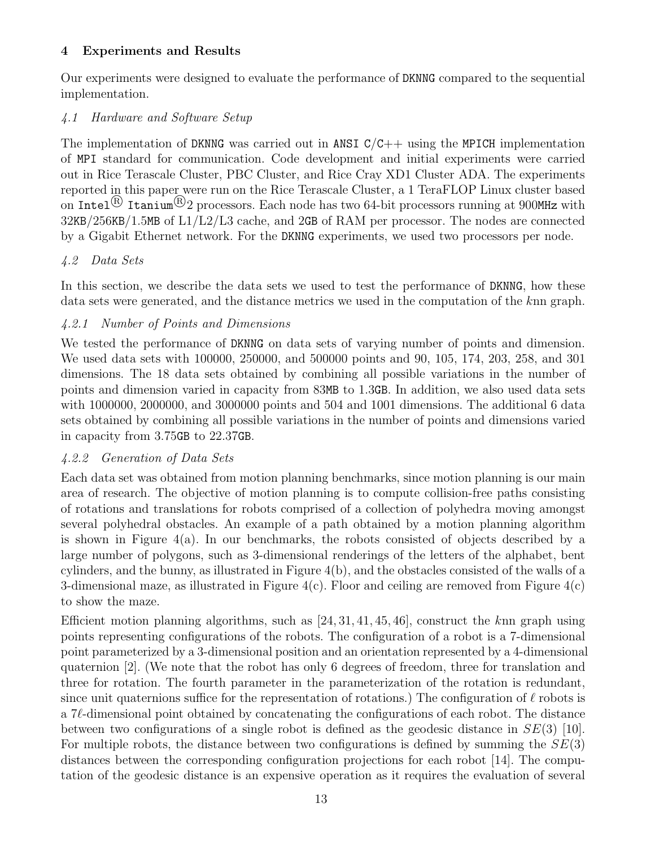# 4 Experiments and Results

Our experiments were designed to evaluate the performance of DKNNG compared to the sequential implementation.

# 4.1 Hardware and Software Setup

The implementation of DKNNG was carried out in ANSI  $C/C++$  using the MPICH implementation of MPI standard for communication. Code development and initial experiments were carried out in Rice Terascale Cluster, PBC Cluster, and Rice Cray XD1 Cluster ADA. The experiments reported in this paper were run on the Rice Terascale Cluster, a 1 TeraFLOP Linux cluster based on Intel <sup>®</sup> Itanium<sup>®</sup> 2 processors. Each node has two 64-bit processors running at 900MHz with 32KB/256KB/1.5MB of L1/L2/L3 cache, and 2GB of RAM per processor. The nodes are connected by a Gigabit Ethernet network. For the DKNNG experiments, we used two processors per node.

# 4.2 Data Sets

In this section, we describe the data sets we used to test the performance of DKNNG, how these data sets were generated, and the distance metrics we used in the computation of the knn graph.

# 4.2.1 Number of Points and Dimensions

We tested the performance of DKNNG on data sets of varying number of points and dimension. We used data sets with 100000, 250000, and 500000 points and 90, 105, 174, 203, 258, and 301 dimensions. The 18 data sets obtained by combining all possible variations in the number of points and dimension varied in capacity from 83MB to 1.3GB. In addition, we also used data sets with 1000000, 2000000, and 3000000 points and 504 and 1001 dimensions. The additional 6 data sets obtained by combining all possible variations in the number of points and dimensions varied in capacity from 3.75GB to 22.37GB.

# 4.2.2 Generation of Data Sets

Each data set was obtained from motion planning benchmarks, since motion planning is our main area of research. The objective of motion planning is to compute collision-free paths consisting of rotations and translations for robots comprised of a collection of polyhedra moving amongst several polyhedral obstacles. An example of a path obtained by a motion planning algorithm is shown in Figure 4(a). In our benchmarks, the robots consisted of objects described by a large number of polygons, such as 3-dimensional renderings of the letters of the alphabet, bent cylinders, and the bunny, as illustrated in Figure  $4(b)$ , and the obstacles consisted of the walls of a 3-dimensional maze, as illustrated in Figure  $4(c)$ . Floor and ceiling are removed from Figure  $4(c)$ to show the maze.

Efficient motion planning algorithms, such as  $[24, 31, 41, 45, 46]$ , construct the knn graph using points representing configurations of the robots. The configuration of a robot is a 7-dimensional point parameterized by a 3-dimensional position and an orientation represented by a 4-dimensional quaternion [2]. (We note that the robot has only 6 degrees of freedom, three for translation and three for rotation. The fourth parameter in the parameterization of the rotation is redundant, since unit quaternions suffice for the representation of rotations.) The configuration of  $\ell$  robots is a 7ℓ-dimensional point obtained by concatenating the configurations of each robot. The distance between two configurations of a single robot is defined as the geodesic distance in  $SE(3)$  [10]. For multiple robots, the distance between two configurations is defined by summing the  $SE(3)$ distances between the corresponding configuration projections for each robot [14]. The computation of the geodesic distance is an expensive operation as it requires the evaluation of several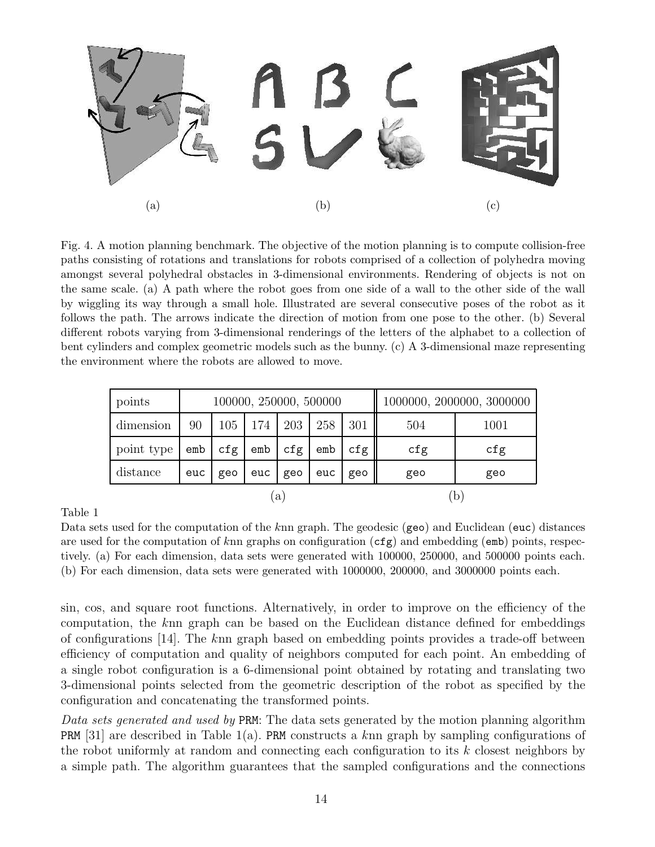

Fig. 4. A motion planning benchmark. The objective of the motion planning is to compute collision-free paths consisting of rotations and translations for robots comprised of a collection of polyhedra moving amongst several polyhedral obstacles in 3-dimensional environments. Rendering of objects is not on the same scale. (a) A path where the robot goes from one side of a wall to the other side of the wall by wiggling its way through a small hole. Illustrated are several consecutive poses of the robot as it follows the path. The arrows indicate the direction of motion from one pose to the other. (b) Several different robots varying from 3-dimensional renderings of the letters of the alphabet to a collection of bent cylinders and complex geometric models such as the bunny. (c) A 3-dimensional maze representing the environment where the robots are allowed to move.

| points     | 100000, 250000, 500000 |     |                   |     |     |            | 1000000, 2000000, 3000000 |              |  |
|------------|------------------------|-----|-------------------|-----|-----|------------|---------------------------|--------------|--|
| dimension  | 90                     | 105 | 174               | 203 | 258 | 301        | 504                       | 1001         |  |
| point type | emb                    | cfg | emb               | cfg | emb | cfg        | cfg                       | cfg          |  |
| distance   | euc<br>geo             |     | euc<br>euc<br>geo |     | geo | geo<br>geo |                           |              |  |
|            | a                      |     |                   |     |     |            |                           | $\mathsf{D}$ |  |

Table 1

Data sets used for the computation of the knn graph. The geodesic (geo) and Euclidean (euc) distances are used for the computation of knn graphs on configuration  $(cfg)$  and embedding (emb) points, respectively. (a) For each dimension, data sets were generated with 100000, 250000, and 500000 points each. (b) For each dimension, data sets were generated with 1000000, 200000, and 3000000 points each.

sin, cos, and square root functions. Alternatively, in order to improve on the efficiency of the computation, the knn graph can be based on the Euclidean distance defined for embeddings of configurations [14]. The knn graph based on embedding points provides a trade-off between efficiency of computation and quality of neighbors computed for each point. An embedding of a single robot configuration is a 6-dimensional point obtained by rotating and translating two 3-dimensional points selected from the geometric description of the robot as specified by the configuration and concatenating the transformed points.

Data sets generated and used by PRM: The data sets generated by the motion planning algorithm **PRM** [31] are described in Table 1(a). **PRM** constructs a knn graph by sampling configurations of the robot uniformly at random and connecting each configuration to its  $k$  closest neighbors by a simple path. The algorithm guarantees that the sampled configurations and the connections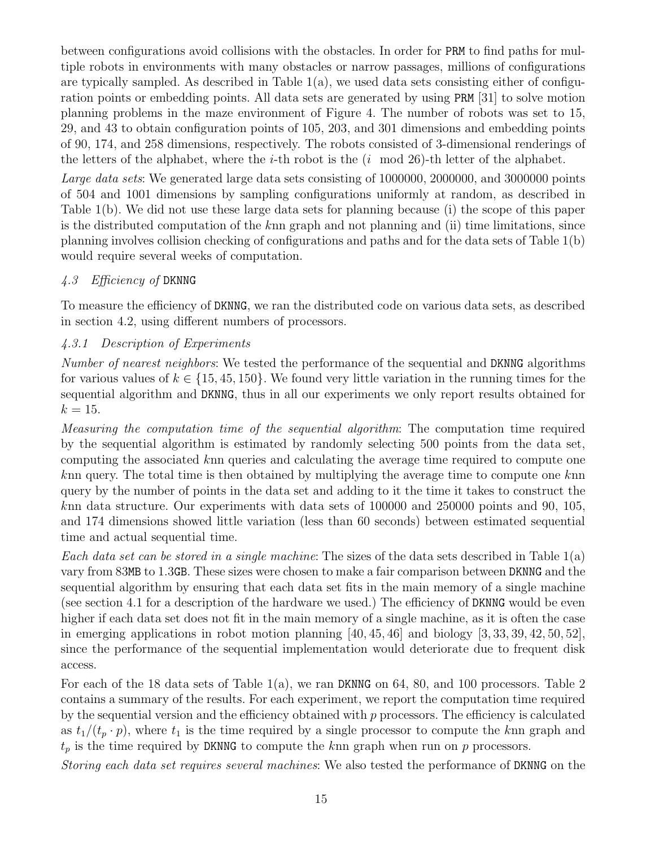between configurations avoid collisions with the obstacles. In order for PRM to find paths for multiple robots in environments with many obstacles or narrow passages, millions of configurations are typically sampled. As described in Table  $1(a)$ , we used data sets consisting either of configuration points or embedding points. All data sets are generated by using PRM [31] to solve motion planning problems in the maze environment of Figure 4. The number of robots was set to 15, 29, and 43 to obtain configuration points of 105, 203, and 301 dimensions and embedding points of 90, 174, and 258 dimensions, respectively. The robots consisted of 3-dimensional renderings of the letters of the alphabet, where the *i*-th robot is the  $(i \mod 26)$ -th letter of the alphabet.

Large data sets: We generated large data sets consisting of 1000000, 2000000, and 3000000 points of 504 and 1001 dimensions by sampling configurations uniformly at random, as described in Table 1(b). We did not use these large data sets for planning because (i) the scope of this paper is the distributed computation of the knn graph and not planning and (ii) time limitations, since planning involves collision checking of configurations and paths and for the data sets of Table 1(b) would require several weeks of computation.

### 4.3 Efficiency of DKNNG

To measure the efficiency of DKNNG, we ran the distributed code on various data sets, as described in section 4.2, using different numbers of processors.

### 4.3.1 Description of Experiments

Number of nearest neighbors: We tested the performance of the sequential and DKNNG algorithms for various values of  $k \in \{15, 45, 150\}$ . We found very little variation in the running times for the sequential algorithm and DKNNG, thus in all our experiments we only report results obtained for  $k = 15$ .

Measuring the computation time of the sequential algorithm: The computation time required by the sequential algorithm is estimated by randomly selecting 500 points from the data set, computing the associated knn queries and calculating the average time required to compute one knn query. The total time is then obtained by multiplying the average time to compute one knn query by the number of points in the data set and adding to it the time it takes to construct the knn data structure. Our experiments with data sets of 100000 and 250000 points and 90, 105, and 174 dimensions showed little variation (less than 60 seconds) between estimated sequential time and actual sequential time.

Each data set can be stored in a single machine: The sizes of the data sets described in Table  $1(a)$ vary from 83MB to 1.3GB. These sizes were chosen to make a fair comparison between DKNNG and the sequential algorithm by ensuring that each data set fits in the main memory of a single machine (see section 4.1 for a description of the hardware we used.) The efficiency of DKNNG would be even higher if each data set does not fit in the main memory of a single machine, as it is often the case in emerging applications in robot motion planning  $[40, 45, 46]$  and biology  $[3, 33, 39, 42, 50, 52]$ , since the performance of the sequential implementation would deteriorate due to frequent disk access.

For each of the 18 data sets of Table  $1(a)$ , we ran DKNNG on 64, 80, and 100 processors. Table 2 contains a summary of the results. For each experiment, we report the computation time required by the sequential version and the efficiency obtained with  $p$  processors. The efficiency is calculated as  $t_1/(t_p \cdot p)$ , where  $t_1$  is the time required by a single processor to compute the knn graph and  $t_p$  is the time required by DKNNG to compute the knn graph when run on  $p$  processors.

Storing each data set requires several machines: We also tested the performance of DKNNG on the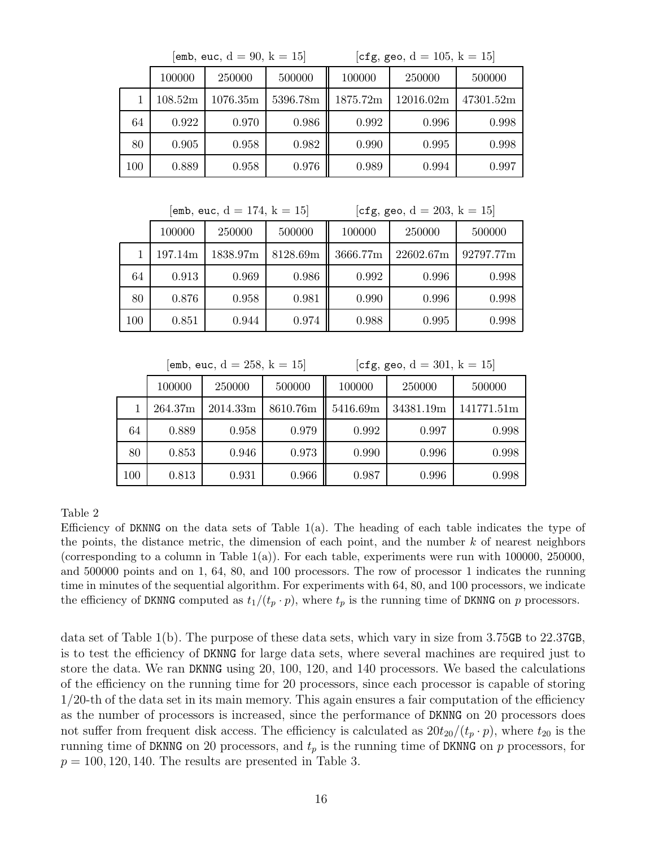|     |                | [emb, euc, $d = 90$ , $k = 15$ ] |        | [cfg, geo, $d = 105$ , $k = 15$ ] |           |           |  |
|-----|----------------|----------------------------------|--------|-----------------------------------|-----------|-----------|--|
|     | 100000         | 250000                           | 500000 | 100000                            | 250000    | 500000    |  |
|     | 108.52m        | 5396.78m<br>1076.35m             |        | 1875.72m                          | 12016.02m | 47301.52m |  |
| 64  | 0.922<br>0.970 |                                  | 0.986  | 0.992                             | 0.996     | 0.998     |  |
| 80  | 0.905          | 0.958                            | 0.982  | 0.990                             | 0.995     | 0.998     |  |
| 100 | 0.889          | 0.958                            | 0.976  | 0.989                             | 0.994     | 0.997     |  |

 $[emb, euc, d = 174, k = 15]$   $[cfg, geo, d = 203, k = 15]$ 

|     | 100000  | 250000   | 500000   | 100000   | 250000    | 500000    |  |  |
|-----|---------|----------|----------|----------|-----------|-----------|--|--|
|     | 197.14m | 1838.97m | 8128.69m | 3666.77m | 22602.67m | 92797.77m |  |  |
| 64  | 0.913   | 0.969    | 0.986    | 0.992    | 0.996     | 0.998     |  |  |
| 80  | 0.876   | 0.958    | 0.981    | 0.990    | 0.996     | 0.998     |  |  |
| 100 | 0.851   | 0.944    | 0.974    | 0.988    | 0.995     | 0.998     |  |  |

 $[emb, euc, d = 258, k = 15]$   $[cfg, geo, d = 301, k = 15]$ 

|         | 100000  | 250000   | 500000   | 100000   | 250000    | 500000     |  |  |
|---------|---------|----------|----------|----------|-----------|------------|--|--|
|         | 264.37m | 2014.33m | 8610.76m | 5416.69m | 34381.19m | 141771.51m |  |  |
| 64      | 0.889   | 0.958    | 0.979    | 0.992    | 0.997     | 0.998      |  |  |
| 80      | 0.853   | 0.946    | 0.973    | 0.990    | 0.996     | 0.998      |  |  |
| $100\,$ | 0.813   | 0.931    | 0.966    | 0.987    | 0.996     | 0.998      |  |  |

Table 2

Efficiency of DKNNG on the data sets of Table  $1(a)$ . The heading of each table indicates the type of the points, the distance metric, the dimension of each point, and the number  $k$  of nearest neighbors (corresponding to a column in Table 1(a)). For each table, experiments were run with 100000, 250000, and 500000 points and on 1, 64, 80, and 100 processors. The row of processor 1 indicates the running time in minutes of the sequential algorithm. For experiments with 64, 80, and 100 processors, we indicate the efficiency of DKNNG computed as  $t_1/(t_p \cdot p)$ , where  $t_p$  is the running time of DKNNG on p processors.

data set of Table 1(b). The purpose of these data sets, which vary in size from 3.75GB to 22.37GB, is to test the efficiency of DKNNG for large data sets, where several machines are required just to store the data. We ran DKNNG using 20, 100, 120, and 140 processors. We based the calculations of the efficiency on the running time for 20 processors, since each processor is capable of storing 1/20-th of the data set in its main memory. This again ensures a fair computation of the efficiency as the number of processors is increased, since the performance of DKNNG on 20 processors does not suffer from frequent disk access. The efficiency is calculated as  $20t_{20}/(t_p \cdot p)$ , where  $t_{20}$  is the running time of DKNNG on 20 processors, and  $t_p$  is the running time of DKNNG on p processors, for  $p = 100, 120, 140$ . The results are presented in Table 3.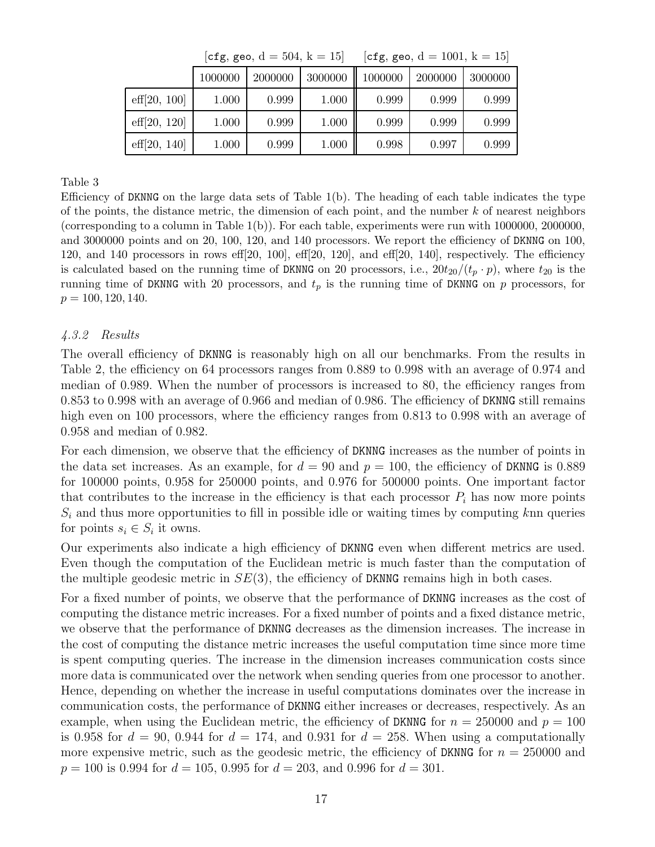|                       |         | $ U_{\perp}E, E_{\perp}U, U - U_{\perp}U, K - U $ |         | $ C_1R, R=0, U = 1001, K = 101$ |         |         |  |
|-----------------------|---------|---------------------------------------------------|---------|---------------------------------|---------|---------|--|
|                       | 1000000 | 2000000                                           | 3000000 | 1000000                         | 2000000 | 3000000 |  |
| $\text{eff}[20, 100]$ | 1.000   | 0.999                                             | 1.000   | 0.999                           | 0.999   | 0.999   |  |
| $\text{eff}[20, 120]$ | 1.000   | 0.999                                             | 1.000   | 0.999                           | 0.999   | 0.999   |  |
| $\text{eff}[20, 140]$ | 1.000   | 0.999                                             | 1.000   | 0.998                           | 0.997   | 0.999   |  |

### $d = 504$  k = 15] [cfg, geo, d = 1001, k

Table 3

Efficiency of DKNNG on the large data sets of Table  $1(b)$ . The heading of each table indicates the type of the points, the distance metric, the dimension of each point, and the number  $k$  of nearest neighbors (corresponding to a column in Table  $1(b)$ ). For each table, experiments were run with 1000000, 2000000, and 3000000 points and on 20, 100, 120, and 140 processors. We report the efficiency of DKNNG on 100, 120, and 140 processors in rows eff $[20, 100]$ , eff $[20, 120]$ , and eff $[20, 140]$ , respectively. The efficiency is calculated based on the running time of DKNNG on 20 processors, i.e.,  $20t_{20}/(t_p \cdot p)$ , where  $t_{20}$  is the running time of DKNNG with 20 processors, and  $t_p$  is the running time of DKNNG on p processors, for  $p = 100, 120, 140.$ 

### 4.3.2 Results

The overall efficiency of DKNNG is reasonably high on all our benchmarks. From the results in Table 2, the efficiency on 64 processors ranges from 0.889 to 0.998 with an average of 0.974 and median of 0.989. When the number of processors is increased to 80, the efficiency ranges from 0.853 to 0.998 with an average of 0.966 and median of 0.986. The efficiency of DKNNG still remains high even on 100 processors, where the efficiency ranges from 0.813 to 0.998 with an average of 0.958 and median of 0.982.

For each dimension, we observe that the efficiency of DKNNG increases as the number of points in the data set increases. As an example, for  $d = 90$  and  $p = 100$ , the efficiency of DKNNG is 0.889 for 100000 points, 0.958 for 250000 points, and 0.976 for 500000 points. One important factor that contributes to the increase in the efficiency is that each processor  $P_i$  has now more points  $S_i$  and thus more opportunities to fill in possible idle or waiting times by computing knn queries for points  $s_i \in S_i$  it owns.

Our experiments also indicate a high efficiency of DKNNG even when different metrics are used. Even though the computation of the Euclidean metric is much faster than the computation of the multiple geodesic metric in  $SE(3)$ , the efficiency of DKNNG remains high in both cases.

For a fixed number of points, we observe that the performance of DKNNG increases as the cost of computing the distance metric increases. For a fixed number of points and a fixed distance metric, we observe that the performance of DKNNG decreases as the dimension increases. The increase in the cost of computing the distance metric increases the useful computation time since more time is spent computing queries. The increase in the dimension increases communication costs since more data is communicated over the network when sending queries from one processor to another. Hence, depending on whether the increase in useful computations dominates over the increase in communication costs, the performance of DKNNG either increases or decreases, respectively. As an example, when using the Euclidean metric, the efficiency of DKNNG for  $n = 250000$  and  $p = 100$ is 0.958 for  $d = 90, 0.944$  for  $d = 174$ , and 0.931 for  $d = 258$ . When using a computationally more expensive metric, such as the geodesic metric, the efficiency of DKNNG for  $n = 250000$  and  $p = 100$  is 0.994 for  $d = 105$ , 0.995 for  $d = 203$ , and 0.996 for  $d = 301$ .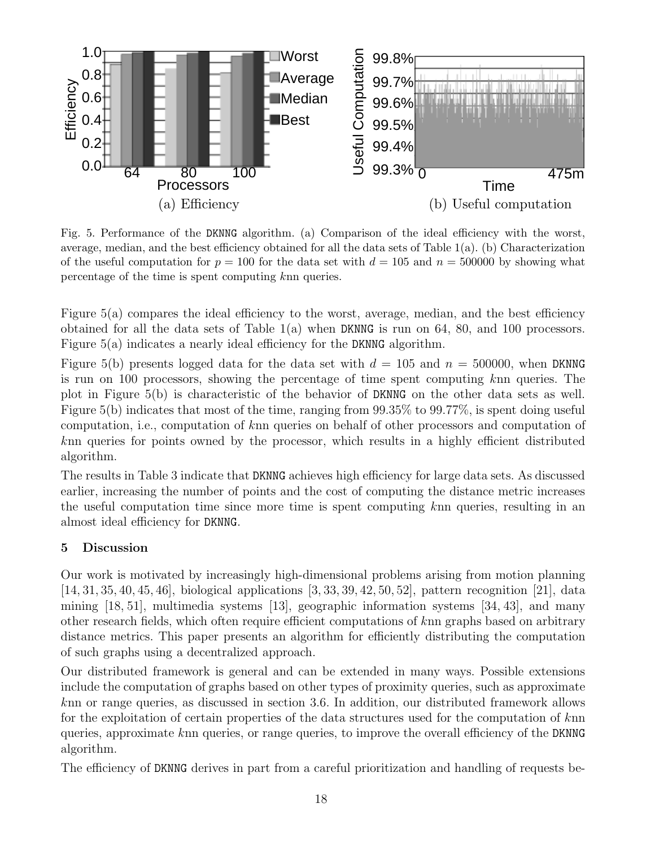

Fig. 5. Performance of the DKNNG algorithm. (a) Comparison of the ideal efficiency with the worst, average, median, and the best efficiency obtained for all the data sets of Table 1(a). (b) Characterization of the useful computation for  $p = 100$  for the data set with  $d = 105$  and  $n = 500000$  by showing what percentage of the time is spent computing knn queries.

Figure 5(a) compares the ideal efficiency to the worst, average, median, and the best efficiency obtained for all the data sets of Table 1(a) when DKNNG is run on 64, 80, and 100 processors. Figure 5(a) indicates a nearly ideal efficiency for the DKNNG algorithm.

Figure 5(b) presents logged data for the data set with  $d = 105$  and  $n = 500000$ , when DKNNG is run on 100 processors, showing the percentage of time spent computing knn queries. The plot in Figure 5(b) is characteristic of the behavior of DKNNG on the other data sets as well. Figure 5(b) indicates that most of the time, ranging from 99.35% to 99.77%, is spent doing useful computation, i.e., computation of knn queries on behalf of other processors and computation of knn queries for points owned by the processor, which results in a highly efficient distributed algorithm.

The results in Table 3 indicate that DKNNG achieves high efficiency for large data sets. As discussed earlier, increasing the number of points and the cost of computing the distance metric increases the useful computation time since more time is spent computing knn queries, resulting in an almost ideal efficiency for DKNNG.

# 5 Discussion

Our work is motivated by increasingly high-dimensional problems arising from motion planning [14, 31, 35, 40, 45, 46], biological applications [3, 33, 39, 42, 50, 52], pattern recognition [21], data mining [18, 51], multimedia systems [13], geographic information systems [34, 43], and many other research fields, which often require efficient computations of knn graphs based on arbitrary distance metrics. This paper presents an algorithm for efficiently distributing the computation of such graphs using a decentralized approach.

Our distributed framework is general and can be extended in many ways. Possible extensions include the computation of graphs based on other types of proximity queries, such as approximate knn or range queries, as discussed in section 3.6. In addition, our distributed framework allows for the exploitation of certain properties of the data structures used for the computation of knn queries, approximate knn queries, or range queries, to improve the overall efficiency of the DKNNG algorithm.

The efficiency of DKNNG derives in part from a careful prioritization and handling of requests be-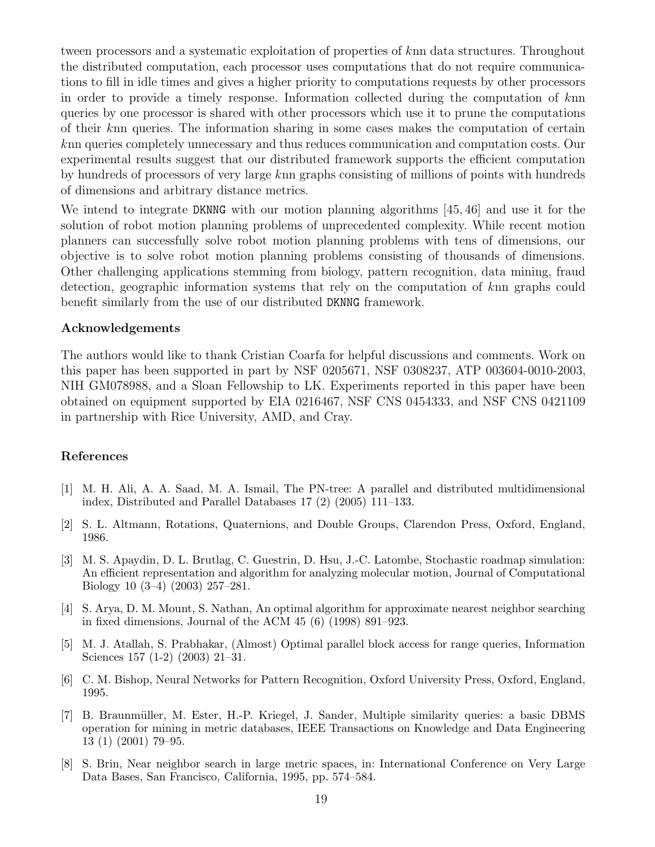tween processors and a systematic exploitation of properties of knn data structures. Throughout the distributed computation, each processor uses computations that do not require communications to fill in idle times and gives a higher priority to computations requests by other processors in order to provide a timely response. Information collected during the computation of knn queries by one processor is shared with other processors which use it to prune the computations of their knn queries. The information sharing in some cases makes the computation of certain knn queries completely unnecessary and thus reduces communication and computation costs. Our experimental results suggest that our distributed framework supports the efficient computation by hundreds of processors of very large knn graphs consisting of millions of points with hundreds of dimensions and arbitrary distance metrics.

We intend to integrate DKNNG with our motion planning algorithms [45, 46] and use it for the solution of robot motion planning problems of unprecedented complexity. While recent motion planners can successfully solve robot motion planning problems with tens of dimensions, our objective is to solve robot motion planning problems consisting of thousands of dimensions. Other challenging applications stemming from biology, pattern recognition, data mining, fraud detection, geographic information systems that rely on the computation of knn graphs could benefit similarly from the use of our distributed DKNNG framework.

#### Acknowledgements

The authors would like to thank Cristian Coarfa for helpful discussions and comments. Work on this paper has been supported in part by NSF 0205671, NSF 0308237, ATP 003604-0010-2003, NIH GM078988, and a Sloan Fellowship to LK. Experiments reported in this paper have been obtained on equipment supported by EIA 0216467, NSF CNS 0454333, and NSF CNS 0421109 in partnership with Rice University, AMD, and Cray.

### References

- [1] M. H. Ali, A. A. Saad, M. A. Ismail, The PN-tree: A parallel and distributed multidimensional index, Distributed and Parallel Databases 17 (2) (2005) 111–133.
- [2] S. L. Altmann, Rotations, Quaternions, and Double Groups, Clarendon Press, Oxford, England, 1986.
- [3] M. S. Apaydin, D. L. Brutlag, C. Guestrin, D. Hsu, J.-C. Latombe, Stochastic roadmap simulation: An efficient representation and algorithm for analyzing molecular motion, Journal of Computational Biology 10 (3–4) (2003) 257–281.
- [4] S. Arya, D. M. Mount, S. Nathan, An optimal algorithm for approximate nearest neighbor searching in fixed dimensions, Journal of the ACM 45 (6) (1998) 891–923.
- [5] M. J. Atallah, S. Prabhakar, (Almost) Optimal parallel block access for range queries, Information Sciences 157 (1-2) (2003) 21–31.
- [6] C. M. Bishop, Neural Networks for Pattern Recognition, Oxford University Press, Oxford, England, 1995.
- [7] B. Braunmüller, M. Ester, H.-P. Kriegel, J. Sander, Multiple similarity queries: a basic DBMS operation for mining in metric databases, IEEE Transactions on Knowledge and Data Engineering 13 (1) (2001) 79–95.
- [8] S. Brin, Near neighbor search in large metric spaces, in: International Conference on Very Large Data Bases, San Francisco, California, 1995, pp. 574–584.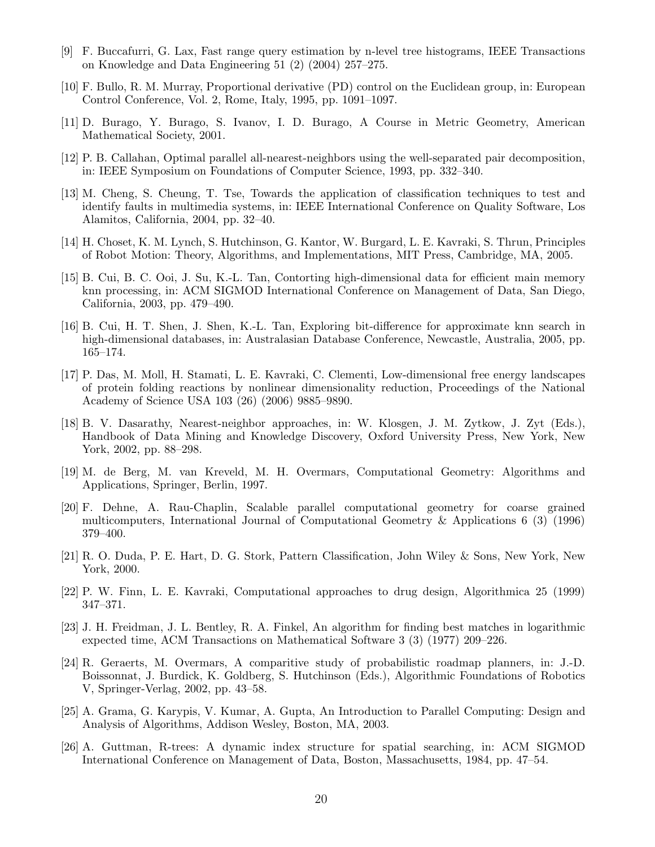- [9] F. Buccafurri, G. Lax, Fast range query estimation by n-level tree histograms, IEEE Transactions on Knowledge and Data Engineering 51 (2) (2004) 257–275.
- [10] F. Bullo, R. M. Murray, Proportional derivative (PD) control on the Euclidean group, in: European Control Conference, Vol. 2, Rome, Italy, 1995, pp. 1091–1097.
- [11] D. Burago, Y. Burago, S. Ivanov, I. D. Burago, A Course in Metric Geometry, American Mathematical Society, 2001.
- [12] P. B. Callahan, Optimal parallel all-nearest-neighbors using the well-separated pair decomposition, in: IEEE Symposium on Foundations of Computer Science, 1993, pp. 332–340.
- [13] M. Cheng, S. Cheung, T. Tse, Towards the application of classification techniques to test and identify faults in multimedia systems, in: IEEE International Conference on Quality Software, Los Alamitos, California, 2004, pp. 32–40.
- [14] H. Choset, K. M. Lynch, S. Hutchinson, G. Kantor, W. Burgard, L. E. Kavraki, S. Thrun, Principles of Robot Motion: Theory, Algorithms, and Implementations, MIT Press, Cambridge, MA, 2005.
- [15] B. Cui, B. C. Ooi, J. Su, K.-L. Tan, Contorting high-dimensional data for efficient main memory knn processing, in: ACM SIGMOD International Conference on Management of Data, San Diego, California, 2003, pp. 479–490.
- [16] B. Cui, H. T. Shen, J. Shen, K.-L. Tan, Exploring bit-difference for approximate knn search in high-dimensional databases, in: Australasian Database Conference, Newcastle, Australia, 2005, pp. 165–174.
- [17] P. Das, M. Moll, H. Stamati, L. E. Kavraki, C. Clementi, Low-dimensional free energy landscapes of protein folding reactions by nonlinear dimensionality reduction, Proceedings of the National Academy of Science USA 103 (26) (2006) 9885–9890.
- [18] B. V. Dasarathy, Nearest-neighbor approaches, in: W. Klosgen, J. M. Zytkow, J. Zyt (Eds.), Handbook of Data Mining and Knowledge Discovery, Oxford University Press, New York, New York, 2002, pp. 88–298.
- [19] M. de Berg, M. van Kreveld, M. H. Overmars, Computational Geometry: Algorithms and Applications, Springer, Berlin, 1997.
- [20] F. Dehne, A. Rau-Chaplin, Scalable parallel computational geometry for coarse grained multicomputers, International Journal of Computational Geometry & Applications 6 (3) (1996) 379–400.
- [21] R. O. Duda, P. E. Hart, D. G. Stork, Pattern Classification, John Wiley & Sons, New York, New York, 2000.
- [22] P. W. Finn, L. E. Kavraki, Computational approaches to drug design, Algorithmica 25 (1999) 347–371.
- [23] J. H. Freidman, J. L. Bentley, R. A. Finkel, An algorithm for finding best matches in logarithmic expected time, ACM Transactions on Mathematical Software 3 (3) (1977) 209–226.
- [24] R. Geraerts, M. Overmars, A comparitive study of probabilistic roadmap planners, in: J.-D. Boissonnat, J. Burdick, K. Goldberg, S. Hutchinson (Eds.), Algorithmic Foundations of Robotics V, Springer-Verlag, 2002, pp. 43–58.
- [25] A. Grama, G. Karypis, V. Kumar, A. Gupta, An Introduction to Parallel Computing: Design and Analysis of Algorithms, Addison Wesley, Boston, MA, 2003.
- [26] A. Guttman, R-trees: A dynamic index structure for spatial searching, in: ACM SIGMOD International Conference on Management of Data, Boston, Massachusetts, 1984, pp. 47–54.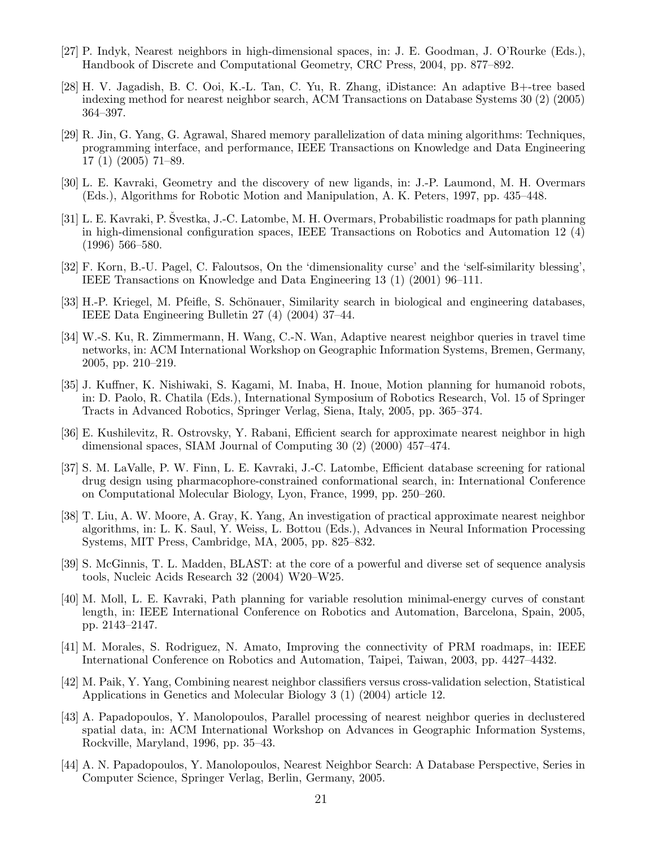- [27] P. Indyk, Nearest neighbors in high-dimensional spaces, in: J. E. Goodman, J. O'Rourke (Eds.), Handbook of Discrete and Computational Geometry, CRC Press, 2004, pp. 877–892.
- [28] H. V. Jagadish, B. C. Ooi, K.-L. Tan, C. Yu, R. Zhang, iDistance: An adaptive B+-tree based indexing method for nearest neighbor search, ACM Transactions on Database Systems 30 (2) (2005) 364–397.
- [29] R. Jin, G. Yang, G. Agrawal, Shared memory parallelization of data mining algorithms: Techniques, programming interface, and performance, IEEE Transactions on Knowledge and Data Engineering 17 (1) (2005) 71–89.
- [30] L. E. Kavraki, Geometry and the discovery of new ligands, in: J.-P. Laumond, M. H. Overmars (Eds.), Algorithms for Robotic Motion and Manipulation, A. K. Peters, 1997, pp. 435–448.
- [31] L. E. Kavraki, P. Švestka, J.-C. Latombe, M. H. Overmars, Probabilistic roadmaps for path planning in high-dimensional configuration spaces, IEEE Transactions on Robotics and Automation 12 (4) (1996) 566–580.
- [32] F. Korn, B.-U. Pagel, C. Faloutsos, On the 'dimensionality curse' and the 'self-similarity blessing', IEEE Transactions on Knowledge and Data Engineering 13 (1) (2001) 96–111.
- [33] H.-P. Kriegel, M. Pfeifle, S. Schönauer, Similarity search in biological and engineering databases, IEEE Data Engineering Bulletin 27 (4) (2004) 37–44.
- [34] W.-S. Ku, R. Zimmermann, H. Wang, C.-N. Wan, Adaptive nearest neighbor queries in travel time networks, in: ACM International Workshop on Geographic Information Systems, Bremen, Germany, 2005, pp. 210–219.
- [35] J. Kuffner, K. Nishiwaki, S. Kagami, M. Inaba, H. Inoue, Motion planning for humanoid robots, in: D. Paolo, R. Chatila (Eds.), International Symposium of Robotics Research, Vol. 15 of Springer Tracts in Advanced Robotics, Springer Verlag, Siena, Italy, 2005, pp. 365–374.
- [36] E. Kushilevitz, R. Ostrovsky, Y. Rabani, Efficient search for approximate nearest neighbor in high dimensional spaces, SIAM Journal of Computing 30 (2) (2000) 457–474.
- [37] S. M. LaValle, P. W. Finn, L. E. Kavraki, J.-C. Latombe, Efficient database screening for rational drug design using pharmacophore-constrained conformational search, in: International Conference on Computational Molecular Biology, Lyon, France, 1999, pp. 250–260.
- [38] T. Liu, A. W. Moore, A. Gray, K. Yang, An investigation of practical approximate nearest neighbor algorithms, in: L. K. Saul, Y. Weiss, L. Bottou (Eds.), Advances in Neural Information Processing Systems, MIT Press, Cambridge, MA, 2005, pp. 825–832.
- [39] S. McGinnis, T. L. Madden, BLAST: at the core of a powerful and diverse set of sequence analysis tools, Nucleic Acids Research 32 (2004) W20–W25.
- [40] M. Moll, L. E. Kavraki, Path planning for variable resolution minimal-energy curves of constant length, in: IEEE International Conference on Robotics and Automation, Barcelona, Spain, 2005, pp. 2143–2147.
- [41] M. Morales, S. Rodriguez, N. Amato, Improving the connectivity of PRM roadmaps, in: IEEE International Conference on Robotics and Automation, Taipei, Taiwan, 2003, pp. 4427–4432.
- [42] M. Paik, Y. Yang, Combining nearest neighbor classifiers versus cross-validation selection, Statistical Applications in Genetics and Molecular Biology 3 (1) (2004) article 12.
- [43] A. Papadopoulos, Y. Manolopoulos, Parallel processing of nearest neighbor queries in declustered spatial data, in: ACM International Workshop on Advances in Geographic Information Systems, Rockville, Maryland, 1996, pp. 35–43.
- [44] A. N. Papadopoulos, Y. Manolopoulos, Nearest Neighbor Search: A Database Perspective, Series in Computer Science, Springer Verlag, Berlin, Germany, 2005.